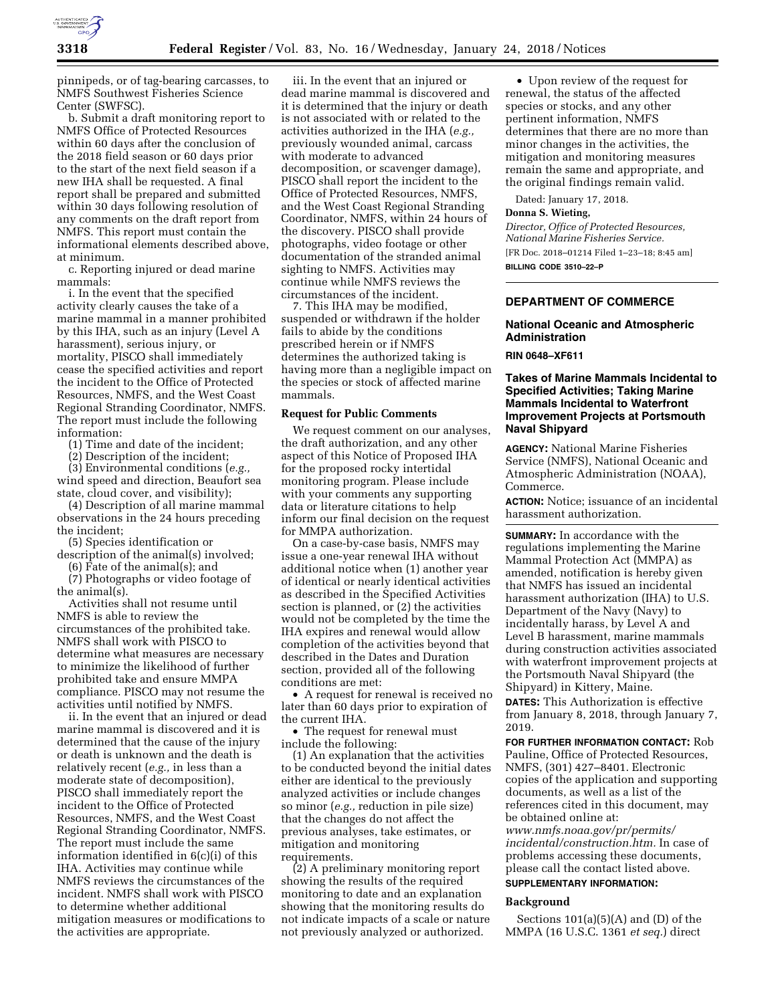

pinnipeds, or of tag-bearing carcasses, to NMFS Southwest Fisheries Science Center (SWFSC).

b. Submit a draft monitoring report to NMFS Office of Protected Resources within 60 days after the conclusion of the 2018 field season or 60 days prior to the start of the next field season if a new IHA shall be requested. A final report shall be prepared and submitted within 30 days following resolution of any comments on the draft report from NMFS. This report must contain the informational elements described above, at minimum.

c. Reporting injured or dead marine mammals:

i. In the event that the specified activity clearly causes the take of a marine mammal in a manner prohibited by this IHA, such as an injury (Level A harassment), serious injury, or mortality, PISCO shall immediately cease the specified activities and report the incident to the Office of Protected Resources, NMFS, and the West Coast Regional Stranding Coordinator, NMFS. The report must include the following information:

(1) Time and date of the incident;

(2) Description of the incident;

(3) Environmental conditions (*e.g.,*  wind speed and direction, Beaufort sea state, cloud cover, and visibility);

(4) Description of all marine mammal observations in the 24 hours preceding the incident;

(5) Species identification or description of the animal(s) involved;

(6) Fate of the animal(s); and

(7) Photographs or video footage of the animal(s).

Activities shall not resume until NMFS is able to review the circumstances of the prohibited take. NMFS shall work with PISCO to determine what measures are necessary to minimize the likelihood of further prohibited take and ensure MMPA compliance. PISCO may not resume the activities until notified by NMFS.

ii. In the event that an injured or dead marine mammal is discovered and it is determined that the cause of the injury or death is unknown and the death is relatively recent (*e.g.,* in less than a moderate state of decomposition), PISCO shall immediately report the incident to the Office of Protected Resources, NMFS, and the West Coast Regional Stranding Coordinator, NMFS. The report must include the same information identified in 6(c)(i) of this IHA. Activities may continue while NMFS reviews the circumstances of the incident. NMFS shall work with PISCO to determine whether additional mitigation measures or modifications to the activities are appropriate.

iii. In the event that an injured or dead marine mammal is discovered and it is determined that the injury or death is not associated with or related to the activities authorized in the IHA (*e.g.,*  previously wounded animal, carcass with moderate to advanced decomposition, or scavenger damage), PISCO shall report the incident to the Office of Protected Resources, NMFS, and the West Coast Regional Stranding Coordinator, NMFS, within 24 hours of the discovery. PISCO shall provide photographs, video footage or other documentation of the stranded animal sighting to NMFS. Activities may continue while NMFS reviews the circumstances of the incident.

7. This IHA may be modified, suspended or withdrawn if the holder fails to abide by the conditions prescribed herein or if NMFS determines the authorized taking is having more than a negligible impact on the species or stock of affected marine mammals.

## **Request for Public Comments**

We request comment on our analyses, the draft authorization, and any other aspect of this Notice of Proposed IHA for the proposed rocky intertidal monitoring program. Please include with your comments any supporting data or literature citations to help inform our final decision on the request for MMPA authorization.

On a case-by-case basis, NMFS may issue a one-year renewal IHA without additional notice when (1) another year of identical or nearly identical activities as described in the Specified Activities section is planned, or (2) the activities would not be completed by the time the IHA expires and renewal would allow completion of the activities beyond that described in the Dates and Duration section, provided all of the following conditions are met:

• A request for renewal is received no later than 60 days prior to expiration of the current IHA.

• The request for renewal must include the following:

(1) An explanation that the activities to be conducted beyond the initial dates either are identical to the previously analyzed activities or include changes so minor (*e.g.,* reduction in pile size) that the changes do not affect the previous analyses, take estimates, or mitigation and monitoring requirements.

(2) A preliminary monitoring report showing the results of the required monitoring to date and an explanation showing that the monitoring results do not indicate impacts of a scale or nature not previously analyzed or authorized.

• Upon review of the request for renewal, the status of the affected species or stocks, and any other pertinent information, NMFS determines that there are no more than minor changes in the activities, the mitigation and monitoring measures remain the same and appropriate, and the original findings remain valid.

Dated: January 17, 2018.

#### **Donna S. Wieting,**

*Director, Office of Protected Resources, National Marine Fisheries Service.*  [FR Doc. 2018–01214 Filed 1–23–18; 8:45 am] **BILLING CODE 3510–22–P** 

## **DEPARTMENT OF COMMERCE**

## **National Oceanic and Atmospheric Administration**

**RIN 0648–XF611** 

## **Takes of Marine Mammals Incidental to Specified Activities; Taking Marine Mammals Incidental to Waterfront Improvement Projects at Portsmouth Naval Shipyard**

**AGENCY:** National Marine Fisheries Service (NMFS), National Oceanic and Atmospheric Administration (NOAA), Commerce.

**ACTION:** Notice; issuance of an incidental harassment authorization.

**SUMMARY:** In accordance with the regulations implementing the Marine Mammal Protection Act (MMPA) as amended, notification is hereby given that NMFS has issued an incidental harassment authorization (IHA) to U.S. Department of the Navy (Navy) to incidentally harass, by Level A and Level B harassment, marine mammals during construction activities associated with waterfront improvement projects at the Portsmouth Naval Shipyard (the Shipyard) in Kittery, Maine.

**DATES:** This Authorization is effective from January 8, 2018, through January 7, 2019.

**FOR FURTHER INFORMATION CONTACT:** Rob Pauline, Office of Protected Resources, NMFS, (301) 427–8401. Electronic copies of the application and supporting documents, as well as a list of the references cited in this document, may be obtained online at: *[www.nmfs.noaa.gov/pr/permits/](http://www.nmfs.noaa.gov/pr/permits/incidental/construction.htm) [incidental/construction.htm.](http://www.nmfs.noaa.gov/pr/permits/incidental/construction.htm)* In case of problems accessing these documents, please call the contact listed above.

## **SUPPLEMENTARY INFORMATION:**

## **Background**

Sections  $101(a)(5)(A)$  and  $(D)$  of the MMPA (16 U.S.C. 1361 *et seq.*) direct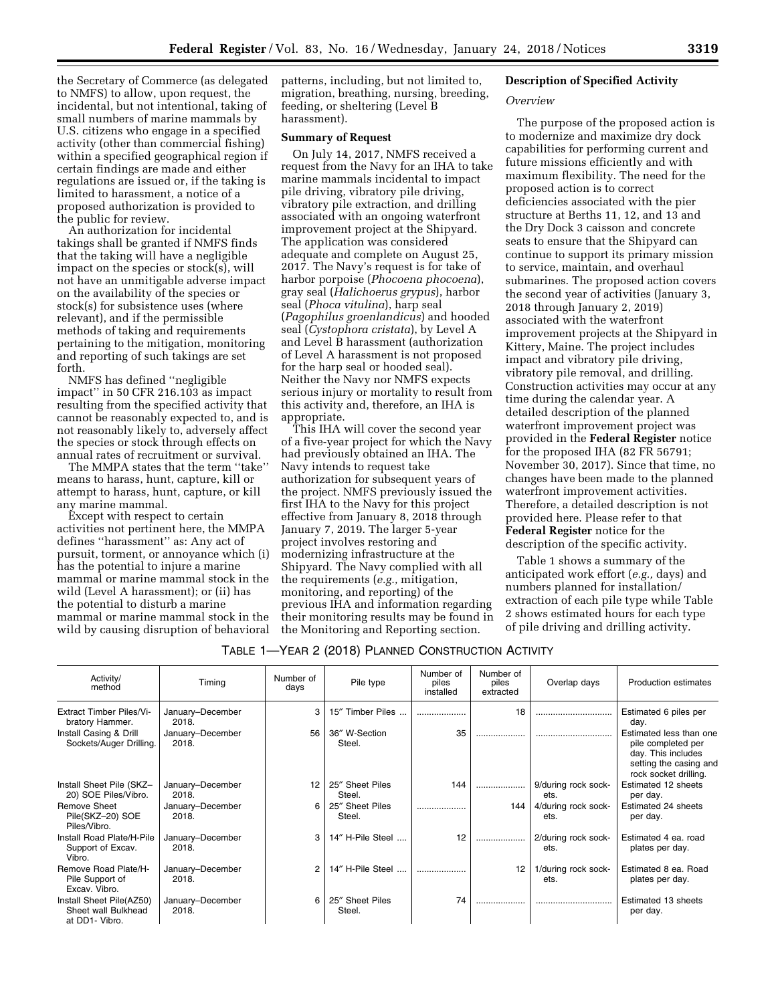the Secretary of Commerce (as delegated to NMFS) to allow, upon request, the incidental, but not intentional, taking of small numbers of marine mammals by U.S. citizens who engage in a specified activity (other than commercial fishing) within a specified geographical region if certain findings are made and either regulations are issued or, if the taking is limited to harassment, a notice of a proposed authorization is provided to the public for review.

An authorization for incidental takings shall be granted if NMFS finds that the taking will have a negligible impact on the species or stock(s), will not have an unmitigable adverse impact on the availability of the species or stock(s) for subsistence uses (where relevant), and if the permissible methods of taking and requirements pertaining to the mitigation, monitoring and reporting of such takings are set forth.

NMFS has defined ''negligible impact'' in 50 CFR 216.103 as impact resulting from the specified activity that cannot be reasonably expected to, and is not reasonably likely to, adversely affect the species or stock through effects on annual rates of recruitment or survival.

The MMPA states that the term ''take'' means to harass, hunt, capture, kill or attempt to harass, hunt, capture, or kill any marine mammal.

Except with respect to certain activities not pertinent here, the MMPA defines ''harassment'' as: Any act of pursuit, torment, or annoyance which (i) has the potential to injure a marine mammal or marine mammal stock in the wild (Level A harassment); or (ii) has the potential to disturb a marine mammal or marine mammal stock in the wild by causing disruption of behavioral patterns, including, but not limited to, migration, breathing, nursing, breeding, feeding, or sheltering (Level B harassment).

### **Summary of Request**

On July 14, 2017, NMFS received a request from the Navy for an IHA to take marine mammals incidental to impact pile driving, vibratory pile driving, vibratory pile extraction, and drilling associated with an ongoing waterfront improvement project at the Shipyard. The application was considered adequate and complete on August 25, 2017. The Navy's request is for take of harbor porpoise (*Phocoena phocoena*), gray seal (*Halichoerus grypus*), harbor seal (*Phoca vitulina*), harp seal (*Pagophilus groenlandicus*) and hooded seal (*Cystophora cristata*), by Level A and Level B harassment (authorization of Level A harassment is not proposed for the harp seal or hooded seal). Neither the Navy nor NMFS expects serious injury or mortality to result from this activity and, therefore, an IHA is appropriate.

This IHA will cover the second year of a five-year project for which the Navy had previously obtained an IHA. The Navy intends to request take authorization for subsequent years of the project. NMFS previously issued the first IHA to the Navy for this project effective from January 8, 2018 through January 7, 2019. The larger 5-year project involves restoring and modernizing infrastructure at the Shipyard. The Navy complied with all the requirements (*e.g.,* mitigation, monitoring, and reporting) of the previous IHA and information regarding their monitoring results may be found in the Monitoring and Reporting section.

## **Description of Specified Activity**

#### *Overview*

The purpose of the proposed action is to modernize and maximize dry dock capabilities for performing current and future missions efficiently and with maximum flexibility. The need for the proposed action is to correct deficiencies associated with the pier structure at Berths 11, 12, and 13 and the Dry Dock 3 caisson and concrete seats to ensure that the Shipyard can continue to support its primary mission to service, maintain, and overhaul submarines. The proposed action covers the second year of activities (January 3, 2018 through January 2, 2019) associated with the waterfront improvement projects at the Shipyard in Kittery, Maine. The project includes impact and vibratory pile driving, vibratory pile removal, and drilling. Construction activities may occur at any time during the calendar year. A detailed description of the planned waterfront improvement project was provided in the **Federal Register** notice for the proposed IHA (82 FR 56791; November 30, 2017). Since that time, no changes have been made to the planned waterfront improvement activities. Therefore, a detailed description is not provided here. Please refer to that **Federal Register** notice for the description of the specific activity.

Table 1 shows a summary of the anticipated work effort (*e.g.,* days) and numbers planned for installation/ extraction of each pile type while Table 2 shows estimated hours for each type of pile driving and drilling activity.

### TABLE 1—YEAR 2 (2018) PLANNED CONSTRUCTION ACTIVITY

| Activity/<br>method                                               | Timing                    | Number of<br>days | Pile type                 | Number of<br>piles<br>installed | Number of<br>piles<br>extracted | Overlap days                | <b>Production estimates</b>                                                                                            |
|-------------------------------------------------------------------|---------------------------|-------------------|---------------------------|---------------------------------|---------------------------------|-----------------------------|------------------------------------------------------------------------------------------------------------------------|
| <b>Extract Timber Piles/Vi-</b><br>bratory Hammer.                | January-December<br>2018. | 3                 | 15" Timber Piles          |                                 | 18                              |                             | Estimated 6 piles per<br>day.                                                                                          |
| Install Casing & Drill<br>Sockets/Auger Drilling.                 | January-December<br>2018. | 56                | 36" W-Section<br>Steel.   | 35                              |                                 |                             | Estimated less than one<br>pile completed per<br>day. This includes<br>setting the casing and<br>rock socket drilling. |
| Install Sheet Pile (SKZ-<br>20) SOE Piles/Vibro.                  | January-December<br>2018. | 12                | 25" Sheet Piles<br>Steel. | 144                             |                                 | 9/during rock sock-<br>ets. | Estimated 12 sheets<br>per day.                                                                                        |
| <b>Remove Sheet</b><br>Pile(SKZ-20) SOE<br>Piles/Vibro.           | January-December<br>2018. | 6                 | 25" Sheet Piles<br>Steel. |                                 | 144                             | 4/during rock sock-<br>ets. | Estimated 24 sheets<br>per day.                                                                                        |
| Install Road Plate/H-Pile<br>Support of Excav.<br>Vibro.          | January-December<br>2018. | 3                 | 14" H-Pile Steel          | 12                              | .                               | 2/during rock sock-<br>ets. | Estimated 4 ea. road<br>plates per day.                                                                                |
| Remove Road Plate/H-<br>Pile Support of<br>Excav. Vibro.          | January-December<br>2018. | 2                 | 14" H-Pile Steel          |                                 | 12                              | 1/during rock sock-<br>ets. | Estimated 8 ea. Road<br>plates per day.                                                                                |
| Install Sheet Pile(AZ50)<br>Sheet wall Bulkhead<br>at DD1- Vibro. | January-December<br>2018. | 6                 | 25" Sheet Piles<br>Steel. | 74                              |                                 |                             | Estimated 13 sheets<br>per day.                                                                                        |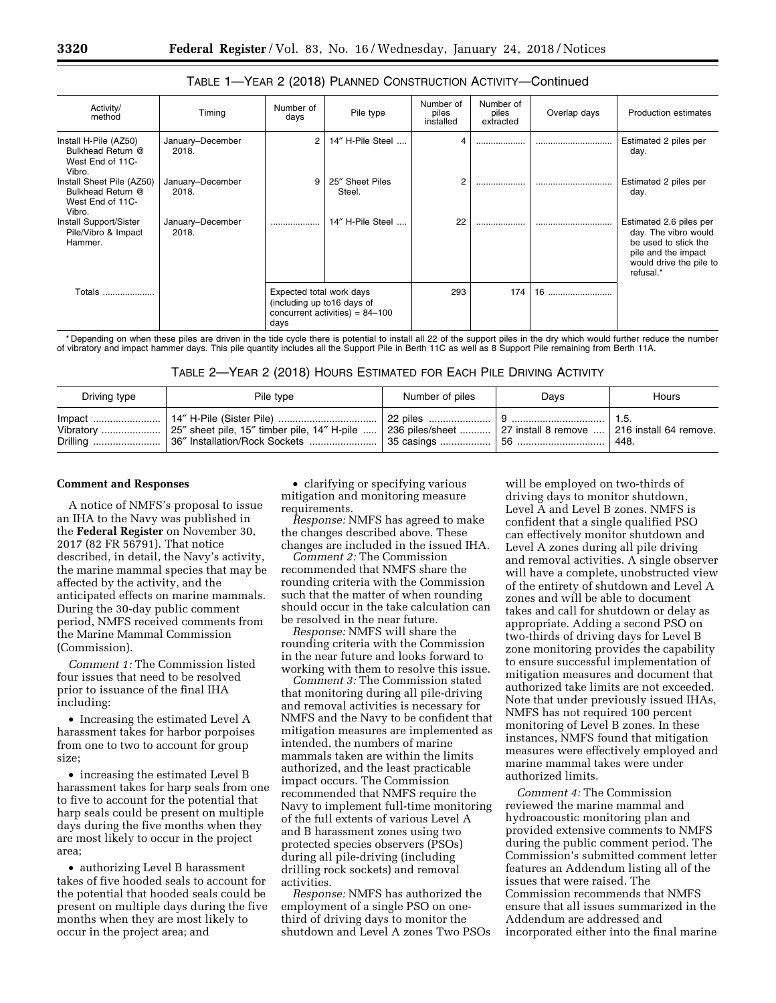| Activity/<br>method                                                          | Timing                    | Number of<br>days                                               | Pile type                         | Number of<br>piles<br>installed | Number of<br>piles<br>extracted | Overlap days | <b>Production estimates</b>                                                                                                            |
|------------------------------------------------------------------------------|---------------------------|-----------------------------------------------------------------|-----------------------------------|---------------------------------|---------------------------------|--------------|----------------------------------------------------------------------------------------------------------------------------------------|
| Install H-Pile (AZ50)<br>Bulkhead Return @<br>West End of 11C-<br>Vibro.     | January-December<br>2018. | $\overline{2}$                                                  | 14" H-Pile Steel                  |                                 |                                 |              | Estimated 2 piles per<br>day.                                                                                                          |
| Install Sheet Pile (AZ50)<br>Bulkhead Return @<br>West End of 11C-<br>Vibro. | January-December<br>2018. | 9                                                               | 25" Sheet Piles<br>Steel.         | 2                               | .                               |              | Estimated 2 piles per<br>day.                                                                                                          |
| Install Support/Sister<br>Pile/Vibro & Impact<br>Hammer.                     | January-December<br>2018. |                                                                 | 14" H-Pile Steel                  | 22                              | .                               |              | Estimated 2.6 piles per<br>day. The vibro would<br>be used to stick the<br>pile and the impact<br>would drive the pile to<br>refusal.* |
| Totals                                                                       |                           | Expected total work days<br>(including up to 16 days of<br>days | concurrent activities) = $84-100$ | 293                             | 174                             | 16           |                                                                                                                                        |

## TABLE 1—YEAR 2 (2018) PLANNED CONSTRUCTION ACTIVITY—Continued

\* Depending on when these piles are driven in the tide cycle there is potential to install all 22 of the support piles in the dry which would further reduce the number of vibratory and impact hammer days. This pile quantity includes all the Support Pile in Berth 11C as well as 8 Support Pile remaining from Berth 11A.

TABLE 2—YEAR 2 (2018) HOURS ESTIMATED FOR EACH PILE DRIVING ACTIVITY

| Driving type | Pile type | Number of piles | Davs | Hours |
|--------------|-----------|-----------------|------|-------|
|              |           |                 |      | 448.  |

#### **Comment and Responses**

A notice of NMFS's proposal to issue an IHA to the Navy was published in the **Federal Register** on November 30, 2017 (82 FR 56791). That notice described, in detail, the Navy's activity, the marine mammal species that may be affected by the activity, and the anticipated effects on marine mammals. During the 30-day public comment period, NMFS received comments from the Marine Mammal Commission (Commission).

*Comment 1:* The Commission listed four issues that need to be resolved prior to issuance of the final IHA including:

• Increasing the estimated Level A harassment takes for harbor porpoises from one to two to account for group size;

• increasing the estimated Level B harassment takes for harp seals from one to five to account for the potential that harp seals could be present on multiple days during the five months when they are most likely to occur in the project area;

• authorizing Level B harassment takes of five hooded seals to account for the potential that hooded seals could be present on multiple days during the five months when they are most likely to occur in the project area; and

• clarifying or specifying various mitigation and monitoring measure requirements.

*Response:* NMFS has agreed to make the changes described above. These changes are included in the issued IHA.

*Comment 2:* The Commission recommended that NMFS share the rounding criteria with the Commission such that the matter of when rounding should occur in the take calculation can be resolved in the near future.

*Response:* NMFS will share the rounding criteria with the Commission in the near future and looks forward to working with them to resolve this issue.

*Comment 3:* The Commission stated that monitoring during all pile-driving and removal activities is necessary for NMFS and the Navy to be confident that mitigation measures are implemented as intended, the numbers of marine mammals taken are within the limits authorized, and the least practicable impact occurs. The Commission recommended that NMFS require the Navy to implement full-time monitoring of the full extents of various Level A and B harassment zones using two protected species observers (PSOs) during all pile-driving (including drilling rock sockets) and removal activities.

*Response:* NMFS has authorized the employment of a single PSO on onethird of driving days to monitor the shutdown and Level A zones Two PSOs

will be employed on two-thirds of driving days to monitor shutdown, Level A and Level B zones. NMFS is confident that a single qualified PSO can effectively monitor shutdown and Level A zones during all pile driving and removal activities. A single observer will have a complete, unobstructed view of the entirety of shutdown and Level A zones and will be able to document takes and call for shutdown or delay as appropriate. Adding a second PSO on two-thirds of driving days for Level B zone monitoring provides the capability to ensure successful implementation of mitigation measures and document that authorized take limits are not exceeded. Note that under previously issued IHAs, NMFS has not required 100 percent monitoring of Level B zones. In these instances, NMFS found that mitigation measures were effectively employed and marine mammal takes were under authorized limits.

*Comment 4:* The Commission reviewed the marine mammal and hydroacoustic monitoring plan and provided extensive comments to NMFS during the public comment period. The Commission's submitted comment letter features an Addendum listing all of the issues that were raised. The Commission recommends that NMFS ensure that all issues summarized in the Addendum are addressed and incorporated either into the final marine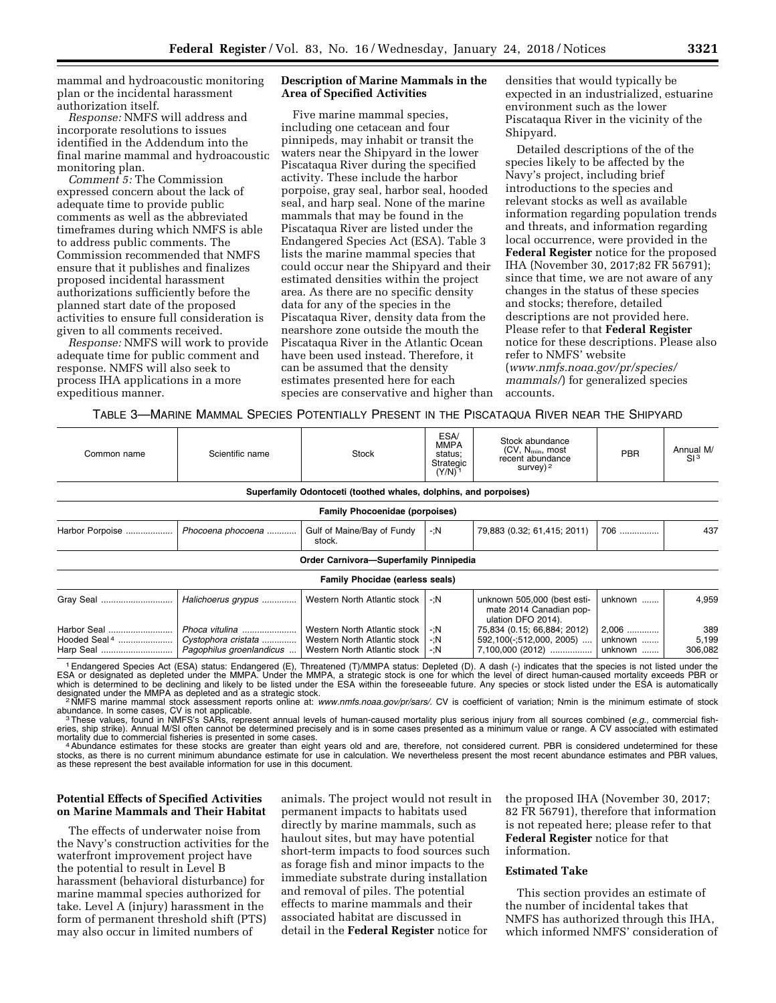mammal and hydroacoustic monitoring plan or the incidental harassment authorization itself.

*Response:* NMFS will address and incorporate resolutions to issues identified in the Addendum into the final marine mammal and hydroacoustic monitoring plan.

*Comment 5:* The Commission expressed concern about the lack of adequate time to provide public comments as well as the abbreviated timeframes during which NMFS is able to address public comments. The Commission recommended that NMFS ensure that it publishes and finalizes proposed incidental harassment authorizations sufficiently before the planned start date of the proposed activities to ensure full consideration is given to all comments received.

*Response:* NMFS will work to provide adequate time for public comment and response. NMFS will also seek to process IHA applications in a more expeditious manner.

## **Description of Marine Mammals in the Area of Specified Activities**

Five marine mammal species, including one cetacean and four pinnipeds, may inhabit or transit the waters near the Shipyard in the lower Piscataqua River during the specified activity. These include the harbor porpoise, gray seal, harbor seal, hooded seal, and harp seal. None of the marine mammals that may be found in the Piscataqua River are listed under the Endangered Species Act (ESA). Table 3 lists the marine mammal species that could occur near the Shipyard and their estimated densities within the project area. As there are no specific density data for any of the species in the Piscataqua River, density data from the nearshore zone outside the mouth the Piscataqua River in the Atlantic Ocean have been used instead. Therefore, it can be assumed that the density estimates presented here for each species are conservative and higher than densities that would typically be expected in an industrialized, estuarine environment such as the lower Piscataqua River in the vicinity of the Shipyard.

Detailed descriptions of the of the species likely to be affected by the Navy's project, including brief introductions to the species and relevant stocks as well as available information regarding population trends and threats, and information regarding local occurrence, were provided in the **Federal Register** notice for the proposed IHA (November 30, 2017;82 FR 56791); since that time, we are not aware of any changes in the status of these species and stocks; therefore, detailed descriptions are not provided here. Please refer to that **Federal Register**  notice for these descriptions. Please also refer to NMFS' website (*[www.nmfs.noaa.gov/pr/species/](http://www.nmfs.noaa.gov/pr/species/mammals/)  [mammals/](http://www.nmfs.noaa.gov/pr/species/mammals/)*) for generalized species accounts.

#### TABLE 3—MARINE MAMMAL SPECIES POTENTIALLY PRESENT IN THE PISCATAQUA RIVER NEAR THE SHIPYARD

| Scientific name                                                  | Stock                                |                              | Stock abundance<br>$(CV, N_{min}, most)$<br>recent abundance<br>survey) $2$                                                                          | PBR                                    | Annual M/<br>SI <sup>3</sup> |  |  |  |  |  |
|------------------------------------------------------------------|--------------------------------------|------------------------------|------------------------------------------------------------------------------------------------------------------------------------------------------|----------------------------------------|------------------------------|--|--|--|--|--|
| Superfamily Odontoceti (toothed whales, dolphins, and porpoises) |                                      |                              |                                                                                                                                                      |                                        |                              |  |  |  |  |  |
|                                                                  |                                      |                              |                                                                                                                                                      |                                        |                              |  |  |  |  |  |
| Phocoena phocoena                                                | Gulf of Maine/Bay of Fundy<br>stock. | $-iN$                        | 79,883 (0.32; 61,415; 2011)                                                                                                                          | 706                                    | 437                          |  |  |  |  |  |
|                                                                  |                                      |                              |                                                                                                                                                      |                                        |                              |  |  |  |  |  |
|                                                                  |                                      |                              |                                                                                                                                                      |                                        |                              |  |  |  |  |  |
| Halichoerus grypus                                               | Western North Atlantic stock         | -:N                          | unknown 505,000 (best esti-<br>mate 2014 Canadian pop-<br>ulation DFO 2014).                                                                         | unknown                                | 4,959                        |  |  |  |  |  |
| Phoca vitulina                                                   | Western North Atlantic stock         | -:N                          | 75,834 (0.15; 66,884; 2012)                                                                                                                          | 2,006                                  | 389                          |  |  |  |  |  |
| Cystophora cristata                                              | Western North Atlantic stock         | -:N                          | 592,100(-;512,000, 2005)                                                                                                                             | unknown                                | 5,199                        |  |  |  |  |  |
|                                                                  |                                      | -:N                          |                                                                                                                                                      | unknown                                | 306,082                      |  |  |  |  |  |
|                                                                  | Pagophilus groenlandicus             | Western North Atlantic stock | <b>ESA</b><br><b>MMPA</b><br>status;<br>Strategic<br>$(Y/N)^{-1}$<br><b>Family Phocoenidae (porpoises)</b><br><b>Family Phocidae (earless seals)</b> | Order Carnivora-Superfamily Pinnipedia | 7,100,000 (2012)             |  |  |  |  |  |

<sup>1</sup> Endangered Species Act (ESA) status: Endangered (E), Threatened (T)/MMPA status: Depleted (D). A dash (-) indicates that the species is not listed under the<br>ESA or designated as depleted under the MMPA. Under the MMPA, which is determined to be declining and likely to be listed under the ESA within the foreseeable future. Any species or stock listed under the ESA is automatically designated under the MMPA as depleted and as a strategic s

<sup>2</sup>NMFS marine mammal stock assessment reports online at: [www.nmfs.noaa.gov/pr/sars/](http://www.nmfs.noaa.gov/pr/sars/). CV is coefficient of variation; Nmin is the minimum estimate of stock abundance. In some cases, CV is not applicable.<br><sup>3</sup>These values, found in NMFS's SARs, represent annual levels of human-caused mortality plus serious injury from all sources combined (*e.g.,* commercial fish-<br><sup>3</sup>These valu

eries, ship strike). Annual M/SI often cannot be determined precisely and is in some cases presented as a minimum value or range. A CV associated with estimated mortality due to commercial fisheries is presented in some cases.<br>4Abundance estimates for these stocks are greater than eight years old and are, therefore, not considered current. PBR is considered undetermined for these

stocks, as there is no current minimum abundance estimate for use in calculation. We nevertheless present the most recent abundance estimates and PBR values, as these represent the best available information for use in this document.

#### **Potential Effects of Specified Activities on Marine Mammals and Their Habitat**

The effects of underwater noise from the Navy's construction activities for the waterfront improvement project have the potential to result in Level B harassment (behavioral disturbance) for marine mammal species authorized for take. Level A (injury) harassment in the form of permanent threshold shift (PTS) may also occur in limited numbers of

animals. The project would not result in permanent impacts to habitats used directly by marine mammals, such as haulout sites, but may have potential short-term impacts to food sources such as forage fish and minor impacts to the immediate substrate during installation and removal of piles. The potential effects to marine mammals and their associated habitat are discussed in detail in the **Federal Register** notice for

the proposed IHA (November 30, 2017; 82 FR 56791), therefore that information is not repeated here; please refer to that **Federal Register** notice for that information.

### **Estimated Take**

This section provides an estimate of the number of incidental takes that NMFS has authorized through this IHA, which informed NMFS' consideration of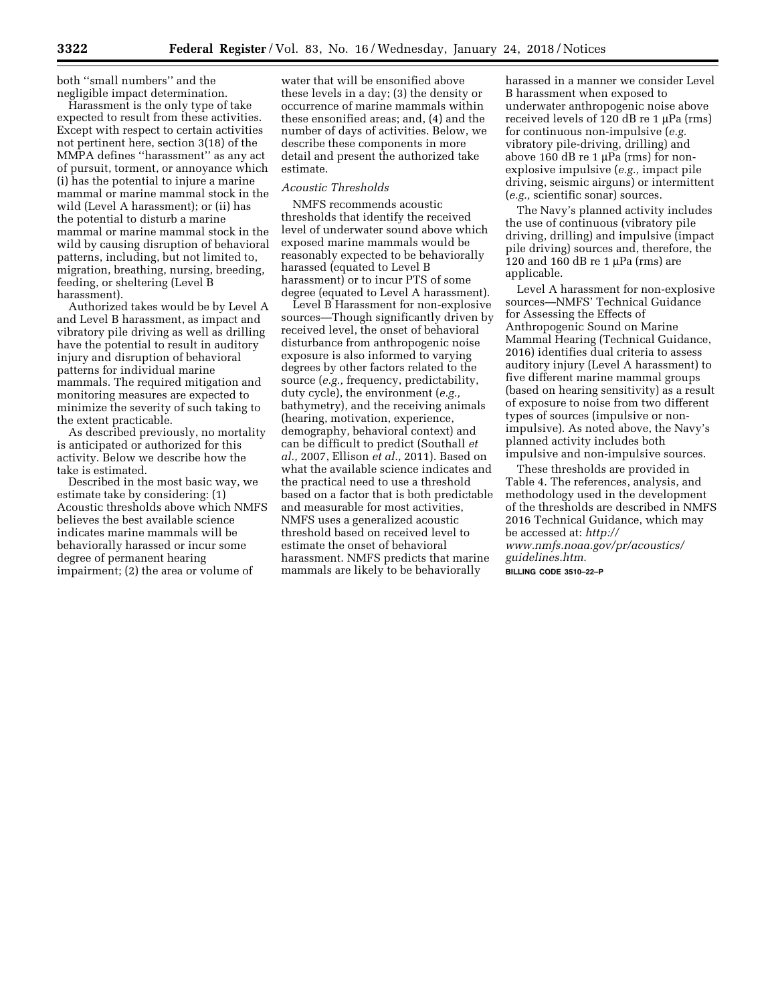both ''small numbers'' and the negligible impact determination.

Harassment is the only type of take expected to result from these activities. Except with respect to certain activities not pertinent here, section 3(18) of the MMPA defines ''harassment'' as any act of pursuit, torment, or annoyance which (i) has the potential to injure a marine mammal or marine mammal stock in the wild (Level A harassment); or (ii) has the potential to disturb a marine mammal or marine mammal stock in the wild by causing disruption of behavioral patterns, including, but not limited to, migration, breathing, nursing, breeding, feeding, or sheltering (Level B harassment).

Authorized takes would be by Level A and Level B harassment, as impact and vibratory pile driving as well as drilling have the potential to result in auditory injury and disruption of behavioral patterns for individual marine mammals. The required mitigation and monitoring measures are expected to minimize the severity of such taking to the extent practicable.

As described previously, no mortality is anticipated or authorized for this activity. Below we describe how the take is estimated.

Described in the most basic way, we estimate take by considering: (1) Acoustic thresholds above which NMFS believes the best available science indicates marine mammals will be behaviorally harassed or incur some degree of permanent hearing impairment; (2) the area or volume of

water that will be ensonified above these levels in a day; (3) the density or occurrence of marine mammals within these ensonified areas; and, (4) and the number of days of activities. Below, we describe these components in more detail and present the authorized take estimate.

#### *Acoustic Thresholds*

NMFS recommends acoustic thresholds that identify the received level of underwater sound above which exposed marine mammals would be reasonably expected to be behaviorally harassed (equated to Level B harassment) or to incur PTS of some degree (equated to Level A harassment).

Level B Harassment for non-explosive sources—Though significantly driven by received level, the onset of behavioral disturbance from anthropogenic noise exposure is also informed to varying degrees by other factors related to the source (*e.g.,* frequency, predictability, duty cycle), the environment (*e.g.,*  bathymetry), and the receiving animals (hearing, motivation, experience, demography, behavioral context) and can be difficult to predict (Southall *et al.,* 2007, Ellison *et al.,* 2011). Based on what the available science indicates and the practical need to use a threshold based on a factor that is both predictable and measurable for most activities, NMFS uses a generalized acoustic threshold based on received level to estimate the onset of behavioral harassment. NMFS predicts that marine mammals are likely to be behaviorally

harassed in a manner we consider Level B harassment when exposed to underwater anthropogenic noise above received levels of  $120$  dB re  $1 \mu Pa$  (rms) for continuous non-impulsive (*e.g.*  vibratory pile-driving, drilling) and above 160 dB re 1  $\mu$ Pa (rms) for nonexplosive impulsive (*e.g.,* impact pile driving, seismic airguns) or intermittent (*e.g.,* scientific sonar) sources.

The Navy's planned activity includes the use of continuous (vibratory pile driving, drilling) and impulsive (impact pile driving) sources and, therefore, the 120 and 160 dB re 1  $\mu$ Pa (rms) are applicable.

Level A harassment for non-explosive sources—NMFS' Technical Guidance for Assessing the Effects of Anthropogenic Sound on Marine Mammal Hearing (Technical Guidance, 2016) identifies dual criteria to assess auditory injury (Level A harassment) to five different marine mammal groups (based on hearing sensitivity) as a result of exposure to noise from two different types of sources (impulsive or nonimpulsive). As noted above, the Navy's planned activity includes both impulsive and non-impulsive sources.

These thresholds are provided in Table 4. The references, analysis, and methodology used in the development of the thresholds are described in NMFS 2016 Technical Guidance, which may be accessed at: *[http://](http://www.nmfs.noaa.gov/pr/acoustics/guidelines.htm) [www.nmfs.noaa.gov/pr/acoustics/](http://www.nmfs.noaa.gov/pr/acoustics/guidelines.htm) [guidelines.htm.](http://www.nmfs.noaa.gov/pr/acoustics/guidelines.htm)*  **BILLING CODE 3510–22–P**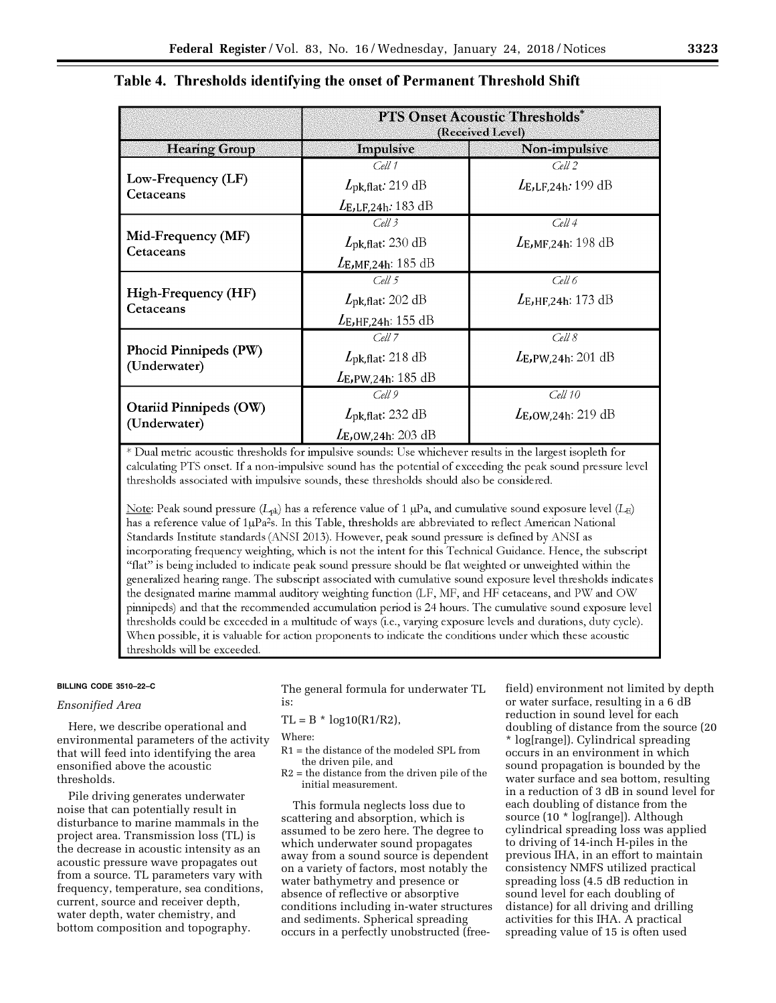| ×<br>۰, | ۰. | ۰, |
|---------|----|----|
|         |    |    |

|                                               | <b>PTS Onset Acoustic Thresholds*</b><br>(Received Level) |                                |  |  |  |
|-----------------------------------------------|-----------------------------------------------------------|--------------------------------|--|--|--|
| <b>Hearing Group</b>                          | Impulsive                                                 | Non-impulsive                  |  |  |  |
|                                               | Cell 1                                                    | $Cell$ 2                       |  |  |  |
| Low-Frequency (LF)<br>Cetaceans               | $L_{\rm pk, flat}$ : 219 dB                               | $L_{E,LF,24h}:199dB$           |  |  |  |
|                                               | $L_{\rm E,LF,24h}:183~\rm dB$                             |                                |  |  |  |
|                                               | Cell 3                                                    | Cell 4                         |  |  |  |
| Mid-Frequency (MF)<br>Cetaceans               | $L_{\rm pk, flat}$ : 230 dB                               | $L_{E,MF,24h}: 198 \text{ dB}$ |  |  |  |
|                                               | $L_{E,MF,24h}:185dB$                                      |                                |  |  |  |
|                                               | Cell 5                                                    | Cell 6                         |  |  |  |
| High-Frequency (HF)<br>Cetaceans              | $L_{\rm pk, flat}$ : 202 dB                               | $L_{E,HF,24h}: 173 dB$         |  |  |  |
|                                               | $L_{E,HF,24h}: 155 dB$                                    |                                |  |  |  |
|                                               | Cell 7                                                    | Cell 8                         |  |  |  |
| Phocid Pinnipeds (PW)<br>(Underwater)         | $L_{\rm pk, flat}$ : 218 dB                               | $L_{E}$ , PW, 24h: 201 dB      |  |  |  |
|                                               | $L_{\rm E,PW,24h:185~dB}$                                 |                                |  |  |  |
|                                               | Cell 9                                                    | Cell 10                        |  |  |  |
| <b>Otariid Pinnipeds (OW)</b><br>(Underwater) | $L_{\rm pk, flat}$ : 232 dB                               | $L_{E,OW,24h}: 219 dB$         |  |  |  |
|                                               | $L_{E,OW,24h:}$ 203 dB                                    |                                |  |  |  |

# Table 4. Thresholds identifying the onset of Permanent Threshold Shift

\* Dual metric acoustic thresholds for impulsive sounds: Use whichever results in the largest isopleth for calculating PTS onset. If a non-impulsive sound has the potential of exceeding the peak sound pressure level thresholds associated with impulsive sounds, these thresholds should also be considered.

Note: Peak sound pressure ( $L_{pk}$ ) has a reference value of 1 µPa, and cumulative sound exposure level ( $L_E$ ) has a reference value of 1µPa<sup>2</sup>s. In this Table, thresholds are abbreviated to reflect American National Standards Institute standards (ANSI 2013). However, peak sound pressure is defined by ANSI as incorporating frequency weighting, which is not the intent for this Technical Guidance. Hence, the subscript "flat" is being included to indicate peak sound pressure should be flat weighted or unweighted within the generalized hearing range. The subscript associated with cumulative sound exposure level thresholds indicates the designated marine mammal auditory weighting function (LF, MF, and HF cetaceans, and PW and OW pinnipeds) and that the recommended accumulation period is 24 hours. The cumulative sound exposure level thresholds could be exceeded in a multitude of ways (i.e., varying exposure levels and durations, duty cycle). When possible, it is valuable for action proponents to indicate the conditions under which these acoustic thresholds will be exceeded.

## **BILLING CODE 3510–22–C**

## *Ensonified Area*

Here, we describe operational and environmental parameters of the activity that will feed into identifying the area ensonified above the acoustic thresholds.

Pile driving generates underwater noise that can potentially result in disturbance to marine mammals in the project area. Transmission loss (TL) is the decrease in acoustic intensity as an acoustic pressure wave propagates out from a source. TL parameters vary with frequency, temperature, sea conditions, current, source and receiver depth, water depth, water chemistry, and bottom composition and topography.

The general formula for underwater TL is:

## $TL = B * log10(R1/R2),$

Where:

- R1 = the distance of the modeled SPL from the driven pile, and
- R2 = the distance from the driven pile of the initial measurement.

This formula neglects loss due to scattering and absorption, which is assumed to be zero here. The degree to which underwater sound propagates away from a sound source is dependent on a variety of factors, most notably the water bathymetry and presence or absence of reflective or absorptive conditions including in-water structures and sediments. Spherical spreading occurs in a perfectly unobstructed (free-

field) environment not limited by depth or water surface, resulting in a 6 dB reduction in sound level for each doubling of distance from the source (20 \* log[range]). Cylindrical spreading occurs in an environment in which sound propagation is bounded by the water surface and sea bottom, resulting in a reduction of 3 dB in sound level for each doubling of distance from the source (10 \* log[range]). Although cylindrical spreading loss was applied to driving of 14-inch H-piles in the previous IHA, in an effort to maintain consistency NMFS utilized practical spreading loss (4.5 dB reduction in sound level for each doubling of distance) for all driving and drilling activities for this IHA. A practical spreading value of 15 is often used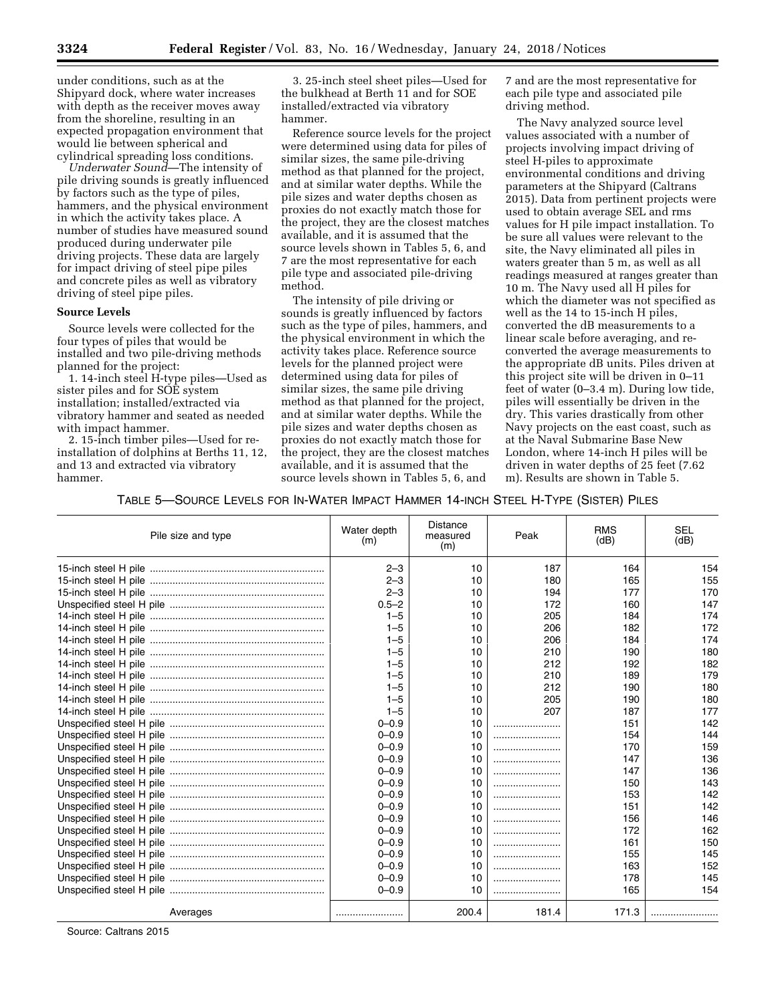under conditions, such as at the Shipyard dock, where water increases with depth as the receiver moves away from the shoreline, resulting in an expected propagation environment that would lie between spherical and cylindrical spreading loss conditions.

*Underwater Sound*—The intensity of pile driving sounds is greatly influenced by factors such as the type of piles, hammers, and the physical environment in which the activity takes place. A number of studies have measured sound produced during underwater pile driving projects. These data are largely for impact driving of steel pipe piles and concrete piles as well as vibratory driving of steel pipe piles.

## **Source Levels**

Source levels were collected for the four types of piles that would be installed and two pile-driving methods planned for the project:

1. 14-inch steel H-type piles—Used as sister piles and for SOE system installation; installed/extracted via vibratory hammer and seated as needed with impact hammer.

2. 15-inch timber piles—Used for reinstallation of dolphins at Berths 11, 12, and 13 and extracted via vibratory hammer.

3. 25-inch steel sheet piles—Used for the bulkhead at Berth 11 and for SOE installed/extracted via vibratory hammer.

Reference source levels for the project were determined using data for piles of similar sizes, the same pile-driving method as that planned for the project, and at similar water depths. While the pile sizes and water depths chosen as proxies do not exactly match those for the project, they are the closest matches available, and it is assumed that the source levels shown in Tables 5, 6, and 7 are the most representative for each pile type and associated pile-driving method.

The intensity of pile driving or sounds is greatly influenced by factors such as the type of piles, hammers, and the physical environment in which the activity takes place. Reference source levels for the planned project were determined using data for piles of similar sizes, the same pile driving method as that planned for the project, and at similar water depths. While the pile sizes and water depths chosen as proxies do not exactly match those for the project, they are the closest matches available, and it is assumed that the source levels shown in Tables 5, 6, and

7 and are the most representative for each pile type and associated pile driving method.

The Navy analyzed source level values associated with a number of projects involving impact driving of steel H-piles to approximate environmental conditions and driving parameters at the Shipyard (Caltrans 2015). Data from pertinent projects were used to obtain average SEL and rms values for H pile impact installation. To be sure all values were relevant to the site, the Navy eliminated all piles in waters greater than 5 m, as well as all readings measured at ranges greater than 10 m. The Navy used all H piles for which the diameter was not specified as well as the 14 to 15-inch H piles, converted the dB measurements to a linear scale before averaging, and reconverted the average measurements to the appropriate dB units. Piles driven at this project site will be driven in 0–11 feet of water (0–3.4 m). During low tide, piles will essentially be driven in the dry. This varies drastically from other Navy projects on the east coast, such as at the Naval Submarine Base New London, where 14-inch H piles will be driven in water depths of 25 feet (7.62 m). Results are shown in Table 5.

TABLE 5—SOURCE LEVELS FOR IN-WATER IMPACT HAMMER 14-INCH STEEL H-TYPE (SISTER) PILES

| Pile size and type | Water depth<br>(m) | <b>Distance</b><br>measured<br>(m) | Peak  | <b>RMS</b><br>(dB) | <b>SEL</b><br>(dB) |
|--------------------|--------------------|------------------------------------|-------|--------------------|--------------------|
|                    | $2 - 3$            | 10                                 | 187   | 164                | 154                |
|                    | $2 - 3$            | 10                                 | 180   | 165                | 155                |
|                    | $2 - 3$            | 10                                 | 194   | 177                | 170                |
|                    | $0.5 - 2$          | 10                                 | 172   | 160                | 147                |
|                    | $1 - 5$            | 10                                 | 205   | 184                | 174                |
|                    | $1 - 5$            | 10                                 | 206   | 182                | 172                |
|                    | $1 - 5$            | 10                                 | 206   | 184                | 174                |
|                    | $1 - 5$            | 10                                 | 210   | 190                | 180                |
|                    | $1 - 5$            | 10                                 | 212   | 192                | 182                |
|                    | $1 - 5$            | 10                                 | 210   | 189                | 179                |
|                    | $1 - 5$            | 10                                 | 212   | 190                | 180                |
|                    | $1 - 5$            | 10                                 | 205   | 190                | 180                |
|                    | $1 - 5$            | 10                                 | 207   | 187                | 177                |
|                    | $0 - 0.9$          | 10                                 |       | 151                | 142                |
|                    | $0 - 0.9$          | 10                                 |       | 154                | 144                |
|                    | $0 - 0.9$          | 10                                 |       | 170                | 159                |
|                    | $0 - 0.9$          | 10                                 |       | 147                | 136                |
|                    | $0 - 0.9$          | 10                                 |       | 147                | 136                |
|                    | $0 - 0.9$          | 10                                 |       | 150                | 143                |
|                    | $0 - 0.9$          | 10                                 |       | 153                | 142                |
|                    | $0 - 0.9$          | 10                                 |       | 151                | 142                |
|                    | $0 - 0.9$          | 10                                 |       | 156                | 146                |
|                    | $0 - 0.9$          | 10                                 |       | 172                | 162                |
|                    | $0 - 0.9$          | 10                                 |       | 161                | 150                |
|                    | $0 - 0.9$          | 10                                 |       | 155                | 145                |
|                    | $0 - 0.9$          | 10                                 |       | 163                | 152                |
|                    | $0 - 0.9$          | 10                                 |       | 178                | 145                |
|                    | $0 - 0.9$          | 10                                 |       | 165                | 154                |
| Averages           |                    | 200.4                              | 181.4 | 171.3              |                    |

Source: Caltrans 2015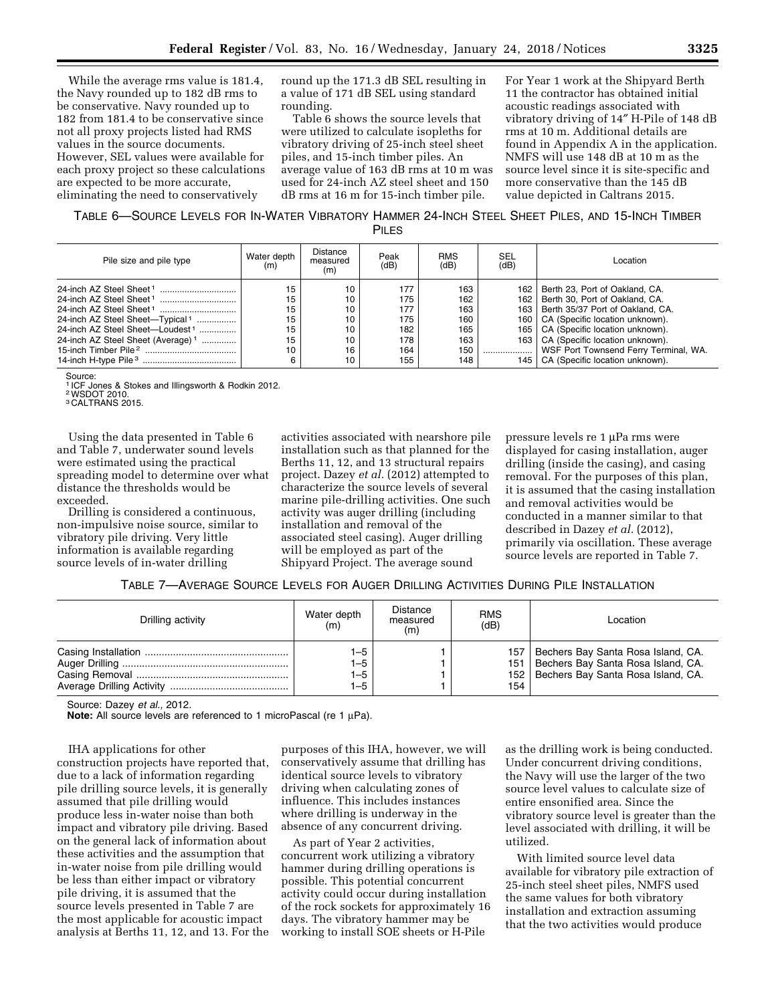While the average rms value is 181.4, the Navy rounded up to 182 dB rms to be conservative. Navy rounded up to 182 from 181.4 to be conservative since not all proxy projects listed had RMS values in the source documents. However, SEL values were available for each proxy project so these calculations are expected to be more accurate, eliminating the need to conservatively

round up the 171.3 dB SEL resulting in a value of 171 dB SEL using standard rounding.

Table 6 shows the source levels that were utilized to calculate isopleths for vibratory driving of 25-inch steel sheet piles, and 15-inch timber piles. An average value of 163 dB rms at 10 m was used for 24-inch AZ steel sheet and 150 dB rms at 16 m for 15-inch timber pile.

For Year 1 work at the Shipyard Berth 11 the contractor has obtained initial acoustic readings associated with vibratory driving of 14″ H-Pile of 148 dB rms at 10 m. Additional details are found in Appendix A in the application. NMFS will use 148 dB at 10 m as the source level since it is site-specific and more conservative than the 145 dB value depicted in Caltrans 2015.

TABLE 6—SOURCE LEVELS FOR IN-WATER VIBRATORY HAMMER 24-INCH STEEL SHEET PILES, AND 15-INCH TIMBER PILES

| Pile size and pile type                       | Water depth<br>(m) | Distance<br>measured<br>(m) | Peak<br>(dB) | <b>RMS</b><br>(dB) | SEL<br>(dB) | Location                              |
|-----------------------------------------------|--------------------|-----------------------------|--------------|--------------------|-------------|---------------------------------------|
|                                               | 15                 | 10                          | 177          | 163                | 162         | Berth 23, Port of Oakland, CA.        |
|                                               | 15                 | 10                          | 175          | 162                | 162         | Berth 30, Port of Oakland, CA.        |
|                                               | 15                 | 10                          | 177          | 163                | 163         | Berth 35/37 Port of Oakland, CA.      |
| 24-inch AZ Steel Sheet-Typical <sup>1</sup>   | 15                 | 10                          | 175          | 160                | 160         | CA (Specific location unknown).       |
| 24-inch AZ Steel Sheet-Loudest <sup>1</sup>   | 15                 | 10                          | 182          | 165                | 165         | CA (Specific location unknown).       |
| 24-inch AZ Steel Sheet (Average) <sup>1</sup> | 15                 | 10                          | 178          | 163                | 163         | CA (Specific location unknown).       |
|                                               | 10                 | 16                          | 164          | 150                |             | WSF Port Townsend Ferry Terminal, WA. |
|                                               | 6                  | 10                          | 155          | 148                | 145         | CA (Specific location unknown).       |

Source: 1 ICF Jones & Stokes and Illingsworth & Rodkin 2012.

2WSDOT 2010.

3 CALTRANS 2015.

Using the data presented in Table 6 and Table 7, underwater sound levels were estimated using the practical spreading model to determine over what distance the thresholds would be exceeded.

Drilling is considered a continuous, non-impulsive noise source, similar to vibratory pile driving. Very little information is available regarding source levels of in-water drilling

activities associated with nearshore pile installation such as that planned for the Berths 11, 12, and 13 structural repairs project. Dazey *et al.* (2012) attempted to characterize the source levels of several marine pile-drilling activities. One such activity was auger drilling (including installation and removal of the associated steel casing). Auger drilling will be employed as part of the Shipyard Project. The average sound

pressure levels re 1 µPa rms were displayed for casing installation, auger drilling (inside the casing), and casing removal. For the purposes of this plan, it is assumed that the casing installation and removal activities would be conducted in a manner similar to that described in Dazey *et al.* (2012), primarily via oscillation. These average source levels are reported in Table 7.

|  | TABLE 7—AVERAGE SOURCE LEVELS FOR AUGER DRILLING ACTIVITIES DURING PILE INSTALLATION |
|--|--------------------------------------------------------------------------------------|
|--|--------------------------------------------------------------------------------------|

| Drilling activity | Water depth<br>(m)            | Distance<br>measured<br>(m) | <b>RMS</b><br>(dB) | Location                                                                                                                   |
|-------------------|-------------------------------|-----------------------------|--------------------|----------------------------------------------------------------------------------------------------------------------------|
|                   | $1 - 5$<br>$1 - 5$<br>$1 - 5$ |                             | 157                | Bechers Bay Santa Rosa Island, CA.<br>151   Bechers Bay Santa Rosa Island, CA.<br>152   Bechers Bay Santa Rosa Island, CA. |
|                   | $1 - 5$                       |                             | 154                |                                                                                                                            |

Source: Dazey *et al.,* 2012.

**Note:** All source levels are referenced to 1 microPascal (re 1 μPa).

IHA applications for other

construction projects have reported that, due to a lack of information regarding pile drilling source levels, it is generally assumed that pile drilling would produce less in-water noise than both impact and vibratory pile driving. Based on the general lack of information about these activities and the assumption that in-water noise from pile drilling would be less than either impact or vibratory pile driving, it is assumed that the source levels presented in Table 7 are the most applicable for acoustic impact analysis at Berths 11, 12, and 13. For the

purposes of this IHA, however, we will conservatively assume that drilling has identical source levels to vibratory driving when calculating zones of influence. This includes instances where drilling is underway in the absence of any concurrent driving.

As part of Year 2 activities, concurrent work utilizing a vibratory hammer during drilling operations is possible. This potential concurrent activity could occur during installation of the rock sockets for approximately 16 days. The vibratory hammer may be working to install SOE sheets or H-Pile

as the drilling work is being conducted. Under concurrent driving conditions, the Navy will use the larger of the two source level values to calculate size of entire ensonified area. Since the vibratory source level is greater than the level associated with drilling, it will be utilized.

With limited source level data available for vibratory pile extraction of 25-inch steel sheet piles, NMFS used the same values for both vibratory installation and extraction assuming that the two activities would produce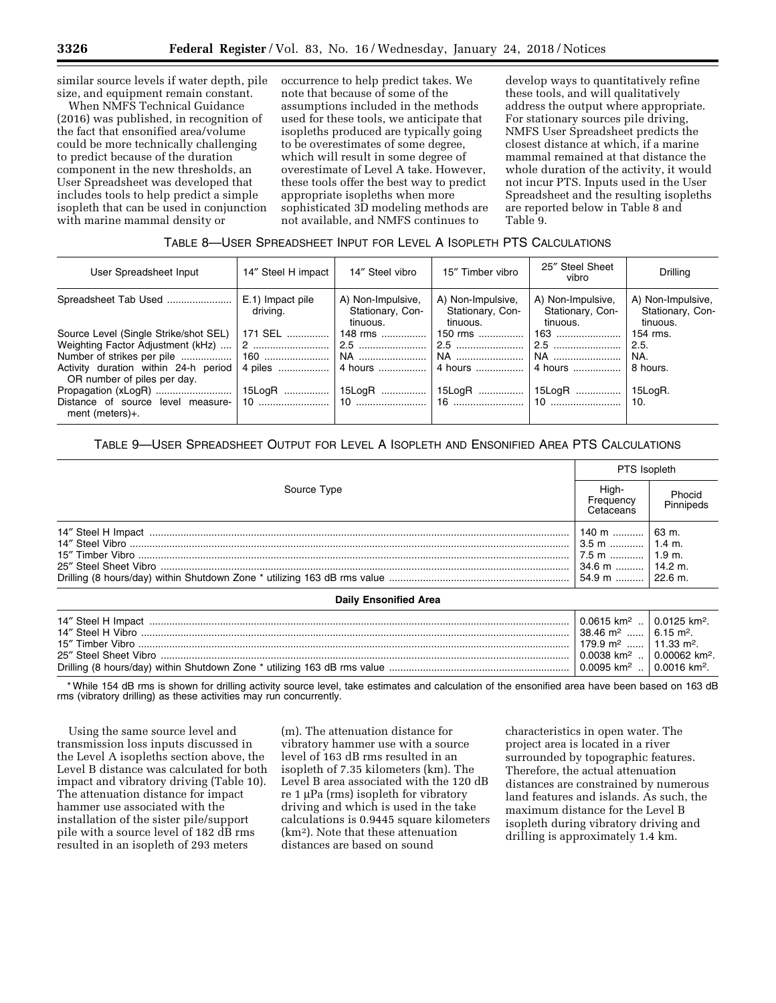similar source levels if water depth, pile size, and equipment remain constant.

When NMFS Technical Guidance (2016) was published, in recognition of the fact that ensonified area/volume could be more technically challenging to predict because of the duration component in the new thresholds, an User Spreadsheet was developed that includes tools to help predict a simple isopleth that can be used in conjunction with marine mammal density or

occurrence to help predict takes. We note that because of some of the assumptions included in the methods used for these tools, we anticipate that isopleths produced are typically going to be overestimates of some degree, which will result in some degree of overestimate of Level A take. However, these tools offer the best way to predict appropriate isopleths when more sophisticated 3D modeling methods are not available, and NMFS continues to

develop ways to quantitatively refine these tools, and will qualitatively address the output where appropriate. For stationary sources pile driving, NMFS User Spreadsheet predicts the closest distance at which, if a marine mammal remained at that distance the whole duration of the activity, it would not incur PTS. Inputs used in the User Spreadsheet and the resulting isopleths are reported below in Table 8 and Table 9.

## TABLE 8—USER SPREADSHEET INPUT FOR LEVEL A ISOPLETH PTS CALCULATIONS

| User Spreadsheet Input                                                                                                                            | 14" Steel H impact           | 14" Steel vibro                                   | 15" Timber vibro                                  | 25" Steel Sheet<br>vibro                          | Drilling                                          |
|---------------------------------------------------------------------------------------------------------------------------------------------------|------------------------------|---------------------------------------------------|---------------------------------------------------|---------------------------------------------------|---------------------------------------------------|
| Spreadsheet Tab Used                                                                                                                              | E.1) Impact pile<br>driving. | A) Non-Impulsive,<br>Stationary, Con-<br>tinuous. | A) Non-Impulsive,<br>Stationary, Con-<br>tinuous. | A) Non-Impulsive,<br>Stationary, Con-<br>tinuous. | A) Non-Impulsive,<br>Stationary, Con-<br>tinuous. |
| Source Level (Single Strike/shot SEL)<br>Weighting Factor Adjustment (kHz)<br>Activity duration within 24-h period<br>OR number of piles per day. | 171 SEL                      | 148 rms<br>$ 2$ …………………………   2.5 ……………………         | 150 rms                                           | $163$                                             | 154 rms.<br>2.5.<br>NA.<br>8 hours.               |
| Distance of source level measure-<br>ment (meters) $+$ .                                                                                          |                              |                                                   |                                                   |                                                   | 15LogR.                                           |

# TABLE 9—USER SPREADSHEET OUTPUT FOR LEVEL A ISOPLETH AND ENSONIFIED AREA PTS CALCULATIONS

|                              | PTS Isopleth                                                              |                     |  |
|------------------------------|---------------------------------------------------------------------------|---------------------|--|
| Source Type                  | High-<br>Frequency<br>Cetaceans                                           | Phocid<br>Pinnipeds |  |
|                              | 140 m    63 m.<br>$3.5$ m    1.4 m.<br>7.5 m  1.9 m.<br>34.6 m    14.2 m. |                     |  |
| <b>Daily Ensonified Area</b> |                                                                           |                     |  |

## 14″ Steel H Impact ..................................................................................................................................................... 0.0615 km2 .. 0.0125 km2. 14″ Steel H Vibro ........................................................................................................................................................ 38.46 m2 ...... 6.15 m2. 15″ Timber Vibro ......................................................................................................................................................... 179.9 m2 ...... 11.33 m2. 25″ Steel Sheet Vibro ................................................................................................................................................. 0.0038 km2 .. 0.00062 km2. Drilling (8 hours/day) within Shutdown Zone \* utilizing 163 dB rms value ................................................................ 0.0095 km2 .. 0.0016 km2.

\* While 154 dB rms is shown for drilling activity source level, take estimates and calculation of the ensonified area have been based on 163 dB rms (vibratory drilling) as these activities may run concurrently.

Using the same source level and transmission loss inputs discussed in the Level A isopleths section above, the Level B distance was calculated for both impact and vibratory driving (Table 10). The attenuation distance for impact hammer use associated with the installation of the sister pile/support pile with a source level of 182 dB rms resulted in an isopleth of 293 meters

(m). The attenuation distance for vibratory hammer use with a source level of 163 dB rms resulted in an isopleth of 7.35 kilometers (km). The Level B area associated with the 120 dB re 1  $\mu$ Pa (rms) isopleth for vibratory driving and which is used in the take calculations is 0.9445 square kilometers (km2). Note that these attenuation distances are based on sound

characteristics in open water. The project area is located in a river surrounded by topographic features. Therefore, the actual attenuation distances are constrained by numerous land features and islands. As such, the maximum distance for the Level B isopleth during vibratory driving and drilling is approximately 1.4 km.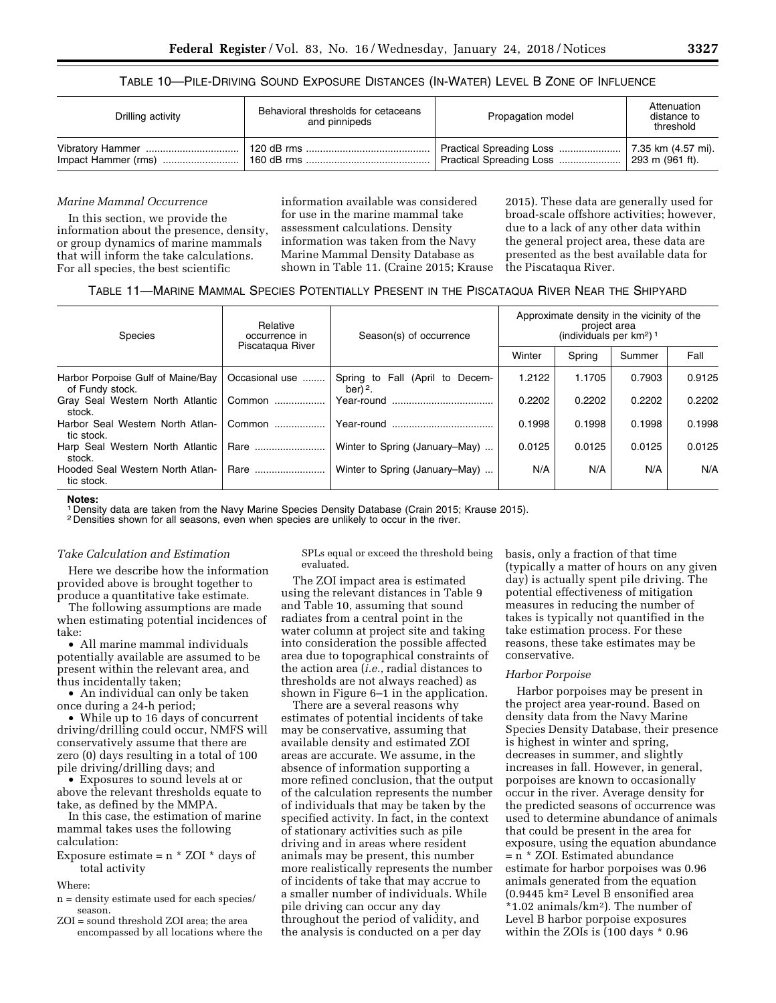## TABLE 10—PILE-DRIVING SOUND EXPOSURE DISTANCES (IN-WATER) LEVEL B ZONE OF INFLUENCE

| Drilling activity | Behavioral thresholds for cetaceans<br>and pinnipeds | Propagation model        | Attenuation<br>distance to<br>threshold |
|-------------------|------------------------------------------------------|--------------------------|-----------------------------------------|
|                   | 160 dB rms                                           | Practical Spreading Loss | 293 m (961 ft).                         |

## *Marine Mammal Occurrence*

In this section, we provide the information about the presence, density, or group dynamics of marine mammals that will inform the take calculations. For all species, the best scientific

information available was considered for use in the marine mammal take assessment calculations. Density information was taken from the Navy Marine Mammal Density Database as shown in Table 11. (Craine 2015; Krause

2015). These data are generally used for broad-scale offshore activities; however, due to a lack of any other data within the general project area, these data are presented as the best available data for the Piscataqua River.

## TABLE 11—MARINE MAMMAL SPECIES POTENTIALLY PRESENT IN THE PISCATAQUA RIVER NEAR THE SHIPYARD

| <b>Species</b>                                       | Relative<br>occurrence in<br>Piscatagua River | Season(s) of occurrence                          | Approximate density in the vicinity of the<br>project area<br>(individuals per km <sup>2</sup> ) <sup>1</sup> |        |        |        |
|------------------------------------------------------|-----------------------------------------------|--------------------------------------------------|---------------------------------------------------------------------------------------------------------------|--------|--------|--------|
|                                                      |                                               |                                                  | Winter                                                                                                        | Spring | Summer | Fall   |
| Harbor Porpoise Gulf of Maine/Bay<br>of Fundy stock. | Occasional use                                | Fall (April to Decem-<br>Spring to<br>ber) $2$ . | 1.2122                                                                                                        | 1.1705 | 0.7903 | 0.9125 |
| Gray Seal Western North Atlantic<br>stock.           | Common                                        | Year-round                                       | 0.2202                                                                                                        | 0.2202 | 0.2202 | 0.2202 |
| Harbor Seal Western North Atlan-<br>tic stock.       | Common                                        |                                                  | 0.1998                                                                                                        | 0.1998 | 0.1998 | 0.1998 |
| Harp Seal Western North Atlantic<br>stock.           | Rare                                          | Winter to Spring (January–May)                   | 0.0125                                                                                                        | 0.0125 | 0.0125 | 0.0125 |
| Hooded Seal Western North Atlan-<br>tic stock.       | Rare                                          | Winter to Spring (January–May)                   | N/A                                                                                                           | N/A    | N/A    | N/A    |

**Notes:** 

1 Density data are taken from the Navy Marine Species Density Database (Crain 2015; Krause 2015).

2 Densities shown for all seasons, even when species are unlikely to occur in the river.

#### *Take Calculation and Estimation*

Here we describe how the information provided above is brought together to produce a quantitative take estimate.

The following assumptions are made when estimating potential incidences of take:

• All marine mammal individuals potentially available are assumed to be present within the relevant area, and thus incidentally taken;

• An individual can only be taken once during a 24-h period;

• While up to 16 days of concurrent driving/drilling could occur, NMFS will conservatively assume that there are zero (0) days resulting in a total of 100 pile driving/drilling days; and

• Exposures to sound levels at or above the relevant thresholds equate to take, as defined by the MMPA.

In this case, the estimation of marine mammal takes uses the following calculation:

Exposure estimate =  $n * ZOI * days$  of total activity

Where:

- n = density estimate used for each species/ season.
- ZOI = sound threshold ZOI area; the area encompassed by all locations where the

SPLs equal or exceed the threshold being evaluated.

The ZOI impact area is estimated using the relevant distances in Table 9 and Table 10, assuming that sound radiates from a central point in the water column at project site and taking into consideration the possible affected area due to topographical constraints of the action area (*i.e.,* radial distances to thresholds are not always reached) as shown in Figure 6–1 in the application.

There are a several reasons why estimates of potential incidents of take may be conservative, assuming that available density and estimated ZOI areas are accurate. We assume, in the absence of information supporting a more refined conclusion, that the output of the calculation represents the number of individuals that may be taken by the specified activity. In fact, in the context of stationary activities such as pile driving and in areas where resident animals may be present, this number more realistically represents the number of incidents of take that may accrue to a smaller number of individuals. While pile driving can occur any day throughout the period of validity, and the analysis is conducted on a per day

basis, only a fraction of that time (typically a matter of hours on any given day) is actually spent pile driving. The potential effectiveness of mitigation measures in reducing the number of takes is typically not quantified in the take estimation process. For these reasons, these take estimates may be conservative.

#### *Harbor Porpoise*

Harbor porpoises may be present in the project area year-round. Based on density data from the Navy Marine Species Density Database, their presence is highest in winter and spring, decreases in summer, and slightly increases in fall. However, in general, porpoises are known to occasionally occur in the river. Average density for the predicted seasons of occurrence was used to determine abundance of animals that could be present in the area for exposure, using the equation abundance = n \* ZOI. Estimated abundance estimate for harbor porpoises was 0.96 animals generated from the equation (0.9445 km2 Level B ensonified area \*1.02 animals/km2). The number of Level B harbor porpoise exposures within the ZOIs is (100 days \* 0.96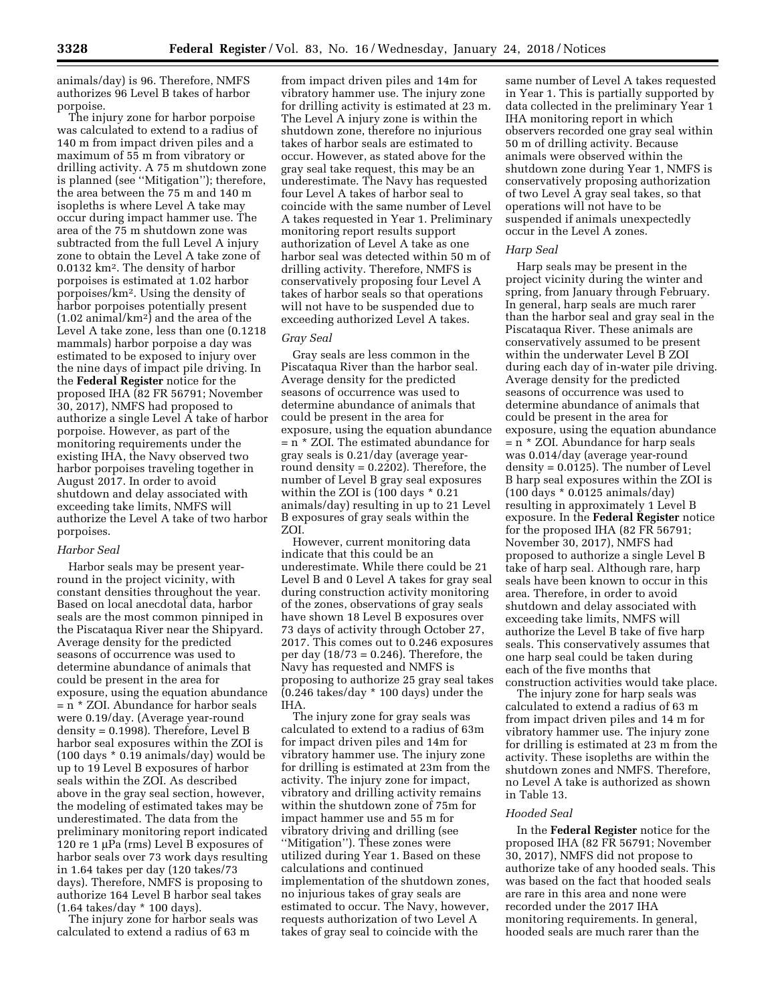animals/day) is 96. Therefore, NMFS authorizes 96 Level B takes of harbor porpoise.

The injury zone for harbor porpoise was calculated to extend to a radius of 140 m from impact driven piles and a maximum of 55 m from vibratory or drilling activity. A 75 m shutdown zone is planned (see ''Mitigation''); therefore, the area between the 75 m and 140 m isopleths is where Level A take may occur during impact hammer use. The area of the 75 m shutdown zone was subtracted from the full Level A injury zone to obtain the Level A take zone of 0.0132 km2. The density of harbor porpoises is estimated at 1.02 harbor porpoises/km2. Using the density of harbor porpoises potentially present (1.02 animal/km2) and the area of the Level A take zone, less than one (0.1218 mammals) harbor porpoise a day was estimated to be exposed to injury over the nine days of impact pile driving. In the **Federal Register** notice for the proposed IHA (82 FR 56791; November 30, 2017), NMFS had proposed to authorize a single Level A take of harbor porpoise. However, as part of the monitoring requirements under the existing IHA, the Navy observed two harbor porpoises traveling together in August 2017. In order to avoid shutdown and delay associated with exceeding take limits, NMFS will authorize the Level A take of two harbor porpoises.

### *Harbor Seal*

Harbor seals may be present yearround in the project vicinity, with constant densities throughout the year. Based on local anecdotal data, harbor seals are the most common pinniped in the Piscataqua River near the Shipyard. Average density for the predicted seasons of occurrence was used to determine abundance of animals that could be present in the area for exposure, using the equation abundance = n \* ZOI. Abundance for harbor seals were 0.19/day. (Average year-round density = 0.1998). Therefore, Level B harbor seal exposures within the ZOI is (100 days \* 0.19 animals/day) would be up to 19 Level B exposures of harbor seals within the ZOI. As described above in the gray seal section, however, the modeling of estimated takes may be underestimated. The data from the preliminary monitoring report indicated 120 re 1  $\mu$ Pa (rms) Level B exposures of harbor seals over 73 work days resulting in 1.64 takes per day (120 takes/73 days). Therefore, NMFS is proposing to authorize 164 Level B harbor seal takes (1.64 takes/day \* 100 days).

The injury zone for harbor seals was calculated to extend a radius of 63 m

from impact driven piles and 14m for vibratory hammer use. The injury zone for drilling activity is estimated at 23 m. The Level A injury zone is within the shutdown zone, therefore no injurious takes of harbor seals are estimated to occur. However, as stated above for the gray seal take request, this may be an underestimate. The Navy has requested four Level A takes of harbor seal to coincide with the same number of Level A takes requested in Year 1. Preliminary monitoring report results support authorization of Level A take as one harbor seal was detected within 50 m of drilling activity. Therefore, NMFS is conservatively proposing four Level A takes of harbor seals so that operations will not have to be suspended due to exceeding authorized Level A takes.

### *Gray Seal*

Gray seals are less common in the Piscataqua River than the harbor seal. Average density for the predicted seasons of occurrence was used to determine abundance of animals that could be present in the area for exposure, using the equation abundance = n \* ZOI. The estimated abundance for gray seals is 0.21/day (average yearround density = 0.2202). Therefore, the number of Level B gray seal exposures within the ZOI is (100 days \* 0.21 animals/day) resulting in up to 21 Level B exposures of gray seals within the ZOI.

However, current monitoring data indicate that this could be an underestimate. While there could be 21 Level B and 0 Level A takes for gray seal during construction activity monitoring of the zones, observations of gray seals have shown 18 Level B exposures over 73 days of activity through October 27, 2017. This comes out to 0.246 exposures per day  $(18/73 = 0.246)$ . Therefore, the Navy has requested and NMFS is proposing to authorize 25 gray seal takes (0.246 takes/day \* 100 days) under the IHA.

The injury zone for gray seals was calculated to extend to a radius of 63m for impact driven piles and 14m for vibratory hammer use. The injury zone for drilling is estimated at 23m from the activity. The injury zone for impact, vibratory and drilling activity remains within the shutdown zone of 75m for impact hammer use and 55 m for vibratory driving and drilling (see ''Mitigation''). These zones were utilized during Year 1. Based on these calculations and continued implementation of the shutdown zones, no injurious takes of gray seals are estimated to occur. The Navy, however, requests authorization of two Level A takes of gray seal to coincide with the

same number of Level A takes requested in Year 1. This is partially supported by data collected in the preliminary Year 1 IHA monitoring report in which observers recorded one gray seal within 50 m of drilling activity. Because animals were observed within the shutdown zone during Year 1, NMFS is conservatively proposing authorization of two Level A gray seal takes, so that operations will not have to be suspended if animals unexpectedly occur in the Level A zones.

#### *Harp Seal*

Harp seals may be present in the project vicinity during the winter and spring, from January through February. In general, harp seals are much rarer than the harbor seal and gray seal in the Piscataqua River. These animals are conservatively assumed to be present within the underwater Level B ZOI during each day of in-water pile driving. Average density for the predicted seasons of occurrence was used to determine abundance of animals that could be present in the area for exposure, using the equation abundance = n \* ZOI. Abundance for harp seals was 0.014/day (average year-round density = 0.0125). The number of Level B harp seal exposures within the ZOI is (100 days \* 0.0125 animals/day) resulting in approximately 1 Level B exposure. In the **Federal Register** notice for the proposed IHA (82 FR 56791; November 30, 2017), NMFS had proposed to authorize a single Level B take of harp seal. Although rare, harp seals have been known to occur in this area. Therefore, in order to avoid shutdown and delay associated with exceeding take limits, NMFS will authorize the Level B take of five harp seals. This conservatively assumes that one harp seal could be taken during each of the five months that construction activities would take place.

The injury zone for harp seals was calculated to extend a radius of 63 m from impact driven piles and 14 m for vibratory hammer use. The injury zone for drilling is estimated at 23 m from the activity. These isopleths are within the shutdown zones and NMFS. Therefore, no Level A take is authorized as shown in Table 13.

## *Hooded Seal*

In the **Federal Register** notice for the proposed IHA (82 FR 56791; November 30, 2017), NMFS did not propose to authorize take of any hooded seals. This was based on the fact that hooded seals are rare in this area and none were recorded under the 2017 IHA monitoring requirements. In general, hooded seals are much rarer than the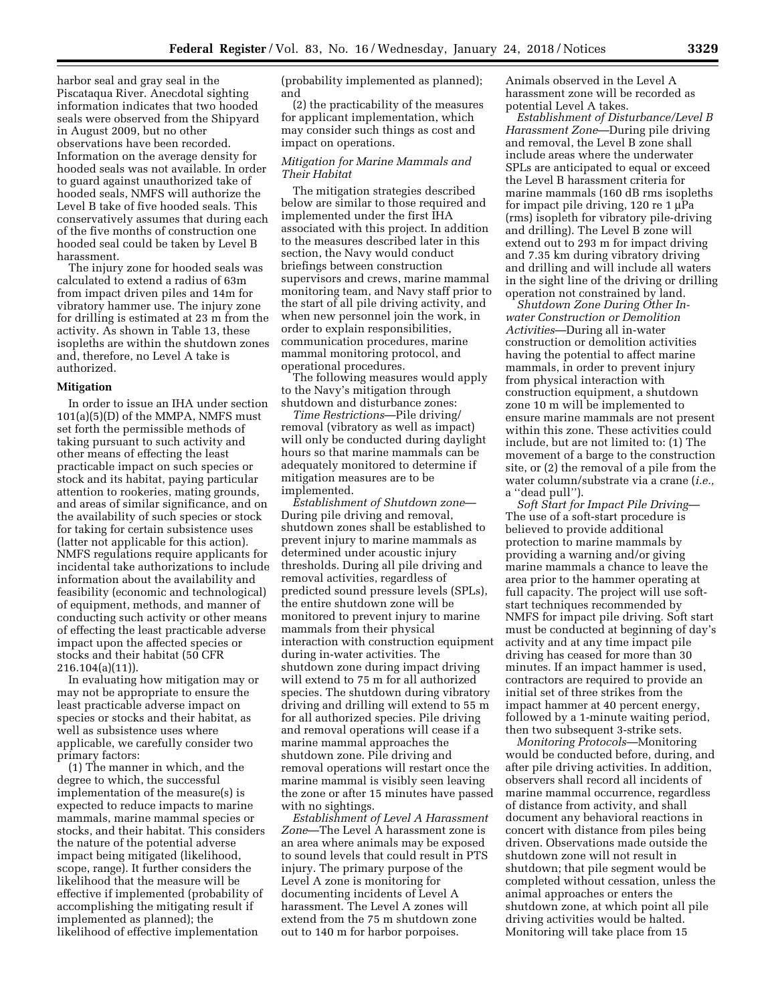harbor seal and gray seal in the Piscataqua River. Anecdotal sighting information indicates that two hooded seals were observed from the Shipyard in August 2009, but no other observations have been recorded. Information on the average density for hooded seals was not available. In order to guard against unauthorized take of hooded seals, NMFS will authorize the Level B take of five hooded seals. This conservatively assumes that during each of the five months of construction one hooded seal could be taken by Level B harassment.

The injury zone for hooded seals was calculated to extend a radius of 63m from impact driven piles and 14m for vibratory hammer use. The injury zone for drilling is estimated at 23 m from the activity. As shown in Table 13, these isopleths are within the shutdown zones and, therefore, no Level A take is authorized.

### **Mitigation**

In order to issue an IHA under section 101(a)(5)(D) of the MMPA, NMFS must set forth the permissible methods of taking pursuant to such activity and other means of effecting the least practicable impact on such species or stock and its habitat, paying particular attention to rookeries, mating grounds, and areas of similar significance, and on the availability of such species or stock for taking for certain subsistence uses (latter not applicable for this action). NMFS regulations require applicants for incidental take authorizations to include information about the availability and feasibility (economic and technological) of equipment, methods, and manner of conducting such activity or other means of effecting the least practicable adverse impact upon the affected species or stocks and their habitat (50 CFR 216.104(a)(11)).

In evaluating how mitigation may or may not be appropriate to ensure the least practicable adverse impact on species or stocks and their habitat, as well as subsistence uses where applicable, we carefully consider two primary factors:

(1) The manner in which, and the degree to which, the successful implementation of the measure(s) is expected to reduce impacts to marine mammals, marine mammal species or stocks, and their habitat. This considers the nature of the potential adverse impact being mitigated (likelihood, scope, range). It further considers the likelihood that the measure will be effective if implemented (probability of accomplishing the mitigating result if implemented as planned); the likelihood of effective implementation

(probability implemented as planned); and

(2) the practicability of the measures for applicant implementation, which may consider such things as cost and impact on operations.

### *Mitigation for Marine Mammals and Their Habitat*

The mitigation strategies described below are similar to those required and implemented under the first IHA associated with this project. In addition to the measures described later in this section, the Navy would conduct briefings between construction supervisors and crews, marine mammal monitoring team, and Navy staff prior to the start of all pile driving activity, and when new personnel join the work, in order to explain responsibilities, communication procedures, marine mammal monitoring protocol, and operational procedures.

The following measures would apply to the Navy's mitigation through shutdown and disturbance zones:

*Time Restrictions*—Pile driving/ removal (vibratory as well as impact) will only be conducted during daylight hours so that marine mammals can be adequately monitored to determine if mitigation measures are to be implemented.

*Establishment of Shutdown zone*— During pile driving and removal, shutdown zones shall be established to prevent injury to marine mammals as determined under acoustic injury thresholds. During all pile driving and removal activities, regardless of predicted sound pressure levels (SPLs), the entire shutdown zone will be monitored to prevent injury to marine mammals from their physical interaction with construction equipment during in-water activities. The shutdown zone during impact driving will extend to 75 m for all authorized species. The shutdown during vibratory driving and drilling will extend to 55 m for all authorized species. Pile driving and removal operations will cease if a marine mammal approaches the shutdown zone. Pile driving and removal operations will restart once the marine mammal is visibly seen leaving the zone or after 15 minutes have passed with no sightings.

*Establishment of Level A Harassment Zone*—The Level A harassment zone is an area where animals may be exposed to sound levels that could result in PTS injury. The primary purpose of the Level A zone is monitoring for documenting incidents of Level A harassment. The Level A zones will extend from the 75 m shutdown zone out to 140 m for harbor porpoises.

Animals observed in the Level A harassment zone will be recorded as potential Level A takes.

*Establishment of Disturbance/Level B Harassment Zone*—During pile driving and removal, the Level B zone shall include areas where the underwater SPLs are anticipated to equal or exceed the Level B harassment criteria for marine mammals (160 dB rms isopleths for impact pile driving,  $120 \text{ re } 1 \mu \text{Pa}$ (rms) isopleth for vibratory pile-driving and drilling). The Level B zone will extend out to 293 m for impact driving and 7.35 km during vibratory driving and drilling and will include all waters in the sight line of the driving or drilling operation not constrained by land.

*Shutdown Zone During Other Inwater Construction or Demolition Activities*—During all in-water construction or demolition activities having the potential to affect marine mammals, in order to prevent injury from physical interaction with construction equipment, a shutdown zone 10 m will be implemented to ensure marine mammals are not present within this zone. These activities could include, but are not limited to: (1) The movement of a barge to the construction site, or (2) the removal of a pile from the water column/substrate via a crane (*i.e.,*  a ''dead pull'').

*Soft Start for Impact Pile Driving*— The use of a soft-start procedure is believed to provide additional protection to marine mammals by providing a warning and/or giving marine mammals a chance to leave the area prior to the hammer operating at full capacity. The project will use softstart techniques recommended by NMFS for impact pile driving. Soft start must be conducted at beginning of day's activity and at any time impact pile driving has ceased for more than 30 minutes. If an impact hammer is used, contractors are required to provide an initial set of three strikes from the impact hammer at 40 percent energy, followed by a 1-minute waiting period, then two subsequent 3-strike sets.

*Monitoring Protocols*—Monitoring would be conducted before, during, and after pile driving activities. In addition, observers shall record all incidents of marine mammal occurrence, regardless of distance from activity, and shall document any behavioral reactions in concert with distance from piles being driven. Observations made outside the shutdown zone will not result in shutdown; that pile segment would be completed without cessation, unless the animal approaches or enters the shutdown zone, at which point all pile driving activities would be halted. Monitoring will take place from 15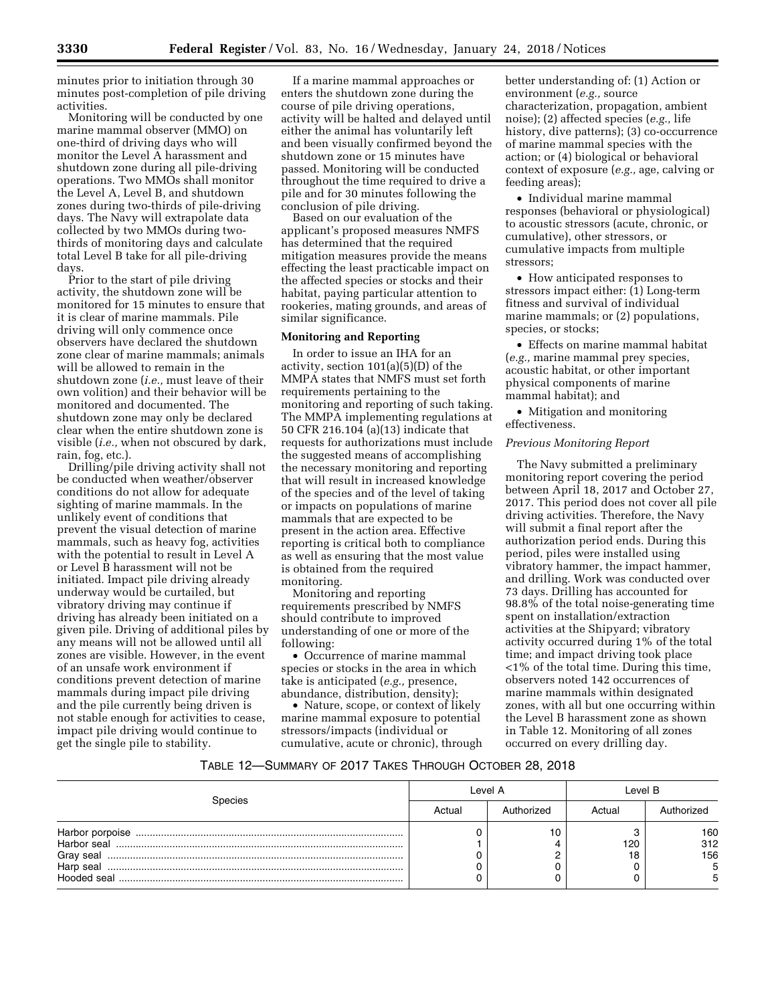minutes prior to initiation through 30 minutes post-completion of pile driving activities.

Monitoring will be conducted by one marine mammal observer (MMO) on one-third of driving days who will monitor the Level A harassment and shutdown zone during all pile-driving operations. Two MMOs shall monitor the Level A, Level B, and shutdown zones during two-thirds of pile-driving days. The Navy will extrapolate data collected by two MMOs during twothirds of monitoring days and calculate total Level B take for all pile-driving days.

Prior to the start of pile driving activity, the shutdown zone will be monitored for 15 minutes to ensure that it is clear of marine mammals. Pile driving will only commence once observers have declared the shutdown zone clear of marine mammals; animals will be allowed to remain in the shutdown zone (*i.e.,* must leave of their own volition) and their behavior will be monitored and documented. The shutdown zone may only be declared clear when the entire shutdown zone is visible (*i.e.,* when not obscured by dark, rain, fog, etc.).

Drilling/pile driving activity shall not be conducted when weather/observer conditions do not allow for adequate sighting of marine mammals. In the unlikely event of conditions that prevent the visual detection of marine mammals, such as heavy fog, activities with the potential to result in Level A or Level B harassment will not be initiated. Impact pile driving already underway would be curtailed, but vibratory driving may continue if driving has already been initiated on a given pile. Driving of additional piles by any means will not be allowed until all zones are visible. However, in the event of an unsafe work environment if conditions prevent detection of marine mammals during impact pile driving and the pile currently being driven is not stable enough for activities to cease, impact pile driving would continue to get the single pile to stability.

If a marine mammal approaches or enters the shutdown zone during the course of pile driving operations, activity will be halted and delayed until either the animal has voluntarily left and been visually confirmed beyond the shutdown zone or 15 minutes have passed. Monitoring will be conducted throughout the time required to drive a pile and for 30 minutes following the conclusion of pile driving.

Based on our evaluation of the applicant's proposed measures NMFS has determined that the required mitigation measures provide the means effecting the least practicable impact on the affected species or stocks and their habitat, paying particular attention to rookeries, mating grounds, and areas of similar significance.

### **Monitoring and Reporting**

In order to issue an IHA for an activity, section 101(a)(5)(D) of the MMPA states that NMFS must set forth requirements pertaining to the monitoring and reporting of such taking. The MMPA implementing regulations at 50 CFR 216.104 (a)(13) indicate that requests for authorizations must include the suggested means of accomplishing the necessary monitoring and reporting that will result in increased knowledge of the species and of the level of taking or impacts on populations of marine mammals that are expected to be present in the action area. Effective reporting is critical both to compliance as well as ensuring that the most value is obtained from the required monitoring.

Monitoring and reporting requirements prescribed by NMFS should contribute to improved understanding of one or more of the following:

• Occurrence of marine mammal species or stocks in the area in which take is anticipated (*e.g.,* presence, abundance, distribution, density);

• Nature, scope, or context of likely marine mammal exposure to potential stressors/impacts (individual or cumulative, acute or chronic), through

better understanding of: (1) Action or environment (*e.g.,* source characterization, propagation, ambient noise); (2) affected species (*e.g.,* life history, dive patterns); (3) co-occurrence of marine mammal species with the action; or (4) biological or behavioral context of exposure (*e.g.,* age, calving or feeding areas);

• Individual marine mammal responses (behavioral or physiological) to acoustic stressors (acute, chronic, or cumulative), other stressors, or cumulative impacts from multiple stressors;

• How anticipated responses to stressors impact either: (1) Long-term fitness and survival of individual marine mammals; or (2) populations, species, or stocks;

• Effects on marine mammal habitat (*e.g.,* marine mammal prey species, acoustic habitat, or other important physical components of marine mammal habitat); and

• Mitigation and monitoring effectiveness.

### *Previous Monitoring Report*

The Navy submitted a preliminary monitoring report covering the period between April 18, 2017 and October 27, 2017. This period does not cover all pile driving activities. Therefore, the Navy will submit a final report after the authorization period ends. During this period, piles were installed using vibratory hammer, the impact hammer, and drilling. Work was conducted over 73 days. Drilling has accounted for 98.8% of the total noise-generating time spent on installation/extraction activities at the Shipyard; vibratory activity occurred during 1% of the total time; and impact driving took place <1% of the total time. During this time, observers noted 142 occurrences of marine mammals within designated zones, with all but one occurring within the Level B harassment zone as shown in Table 12. Monitoring of all zones occurred on every drilling day.

## TABLE 12—SUMMARY OF 2017 TAKES THROUGH OCTOBER 28, 2018

|                                                      | Level A |            | Level B |                        |
|------------------------------------------------------|---------|------------|---------|------------------------|
| Species                                              | Actual  | Authorized | Actual  | Authorized             |
| Harbor seal<br>Gray seal<br>Harp seal<br>Hooded seal |         | 10         | 120     | 160<br>312<br>156<br>5 |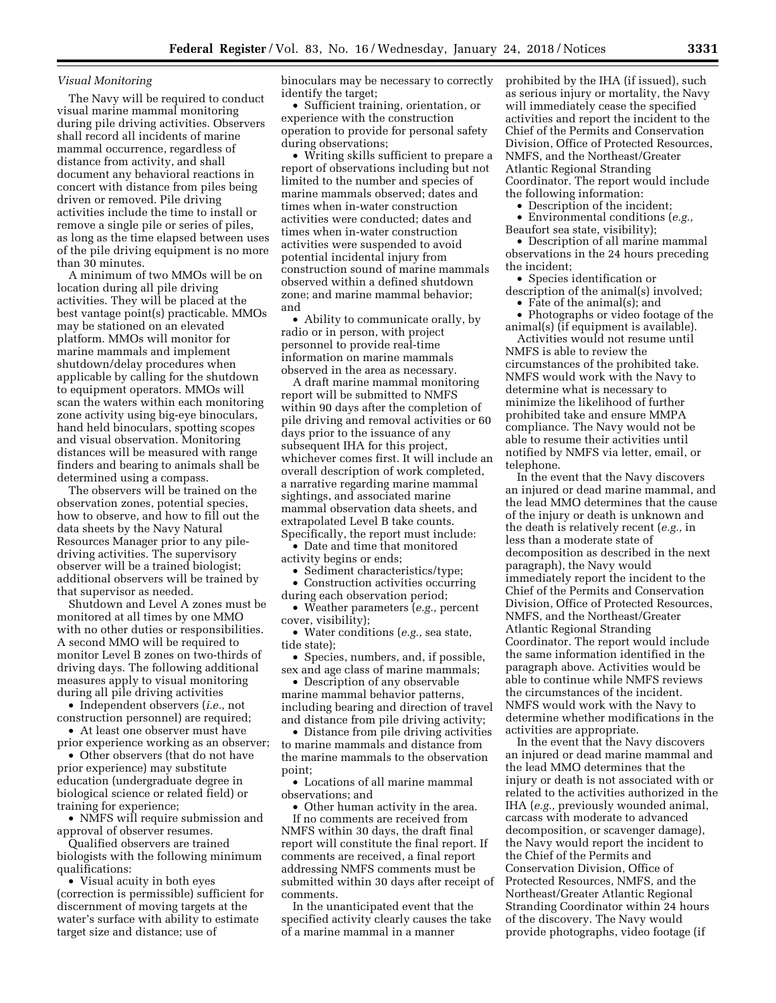#### *Visual Monitoring*

The Navy will be required to conduct visual marine mammal monitoring during pile driving activities. Observers shall record all incidents of marine mammal occurrence, regardless of distance from activity, and shall document any behavioral reactions in concert with distance from piles being driven or removed. Pile driving activities include the time to install or remove a single pile or series of piles, as long as the time elapsed between uses of the pile driving equipment is no more than 30 minutes.

A minimum of two MMOs will be on location during all pile driving activities. They will be placed at the best vantage point(s) practicable. MMOs may be stationed on an elevated platform. MMOs will monitor for marine mammals and implement shutdown/delay procedures when applicable by calling for the shutdown to equipment operators. MMOs will scan the waters within each monitoring zone activity using big-eye binoculars, hand held binoculars, spotting scopes and visual observation. Monitoring distances will be measured with range finders and bearing to animals shall be determined using a compass.

The observers will be trained on the observation zones, potential species, how to observe, and how to fill out the data sheets by the Navy Natural Resources Manager prior to any piledriving activities. The supervisory observer will be a trained biologist; additional observers will be trained by that supervisor as needed.

Shutdown and Level A zones must be monitored at all times by one MMO with no other duties or responsibilities. A second MMO will be required to monitor Level B zones on two-thirds of driving days. The following additional measures apply to visual monitoring during all pile driving activities

• Independent observers (*i.e.,* not construction personnel) are required;

• At least one observer must have prior experience working as an observer;

• Other observers (that do not have prior experience) may substitute education (undergraduate degree in biological science or related field) or training for experience;

• NMFS will require submission and approval of observer resumes.

Qualified observers are trained biologists with the following minimum qualifications:

• Visual acuity in both eyes (correction is permissible) sufficient for discernment of moving targets at the water's surface with ability to estimate target size and distance; use of

binoculars may be necessary to correctly identify the target;

• Sufficient training, orientation, or experience with the construction operation to provide for personal safety during observations;

• Writing skills sufficient to prepare a report of observations including but not limited to the number and species of marine mammals observed; dates and times when in-water construction activities were conducted; dates and times when in-water construction activities were suspended to avoid potential incidental injury from construction sound of marine mammals observed within a defined shutdown zone; and marine mammal behavior; and

• Ability to communicate orally, by radio or in person, with project personnel to provide real-time information on marine mammals observed in the area as necessary.

A draft marine mammal monitoring report will be submitted to NMFS within 90 days after the completion of pile driving and removal activities or 60 days prior to the issuance of any subsequent IHA for this project, whichever comes first. It will include an overall description of work completed, a narrative regarding marine mammal sightings, and associated marine mammal observation data sheets, and extrapolated Level B take counts. Specifically, the report must include:

• Date and time that monitored activity begins or ends;

• Sediment characteristics/type;

• Construction activities occurring during each observation period;

• Weather parameters (*e.g.,* percent cover, visibility);

• Water conditions (*e.g.,* sea state, tide state);

• Species, numbers, and, if possible, sex and age class of marine mammals;

• Description of any observable marine mammal behavior patterns, including bearing and direction of travel and distance from pile driving activity;

• Distance from pile driving activities to marine mammals and distance from the marine mammals to the observation point;

• Locations of all marine mammal observations; and

• Other human activity in the area.

If no comments are received from NMFS within 30 days, the draft final report will constitute the final report. If comments are received, a final report addressing NMFS comments must be submitted within 30 days after receipt of comments.

In the unanticipated event that the specified activity clearly causes the take of a marine mammal in a manner

prohibited by the IHA (if issued), such as serious injury or mortality, the Navy will immediately cease the specified activities and report the incident to the Chief of the Permits and Conservation Division, Office of Protected Resources, NMFS, and the Northeast/Greater Atlantic Regional Stranding Coordinator. The report would include the following information:

• Description of the incident;

• Environmental conditions (*e.g.,*  Beaufort sea state, visibility);

• Description of all marine mammal observations in the 24 hours preceding the incident;

• Species identification or description of the animal(s) involved;

• Fate of the animal(s); and • Photographs or video footage of the

animal(s) (if equipment is available). Activities would not resume until NMFS is able to review the circumstances of the prohibited take. NMFS would work with the Navy to determine what is necessary to minimize the likelihood of further prohibited take and ensure MMPA compliance. The Navy would not be able to resume their activities until notified by NMFS via letter, email, or telephone.

In the event that the Navy discovers an injured or dead marine mammal, and the lead MMO determines that the cause of the injury or death is unknown and the death is relatively recent (*e.g.,* in less than a moderate state of decomposition as described in the next paragraph), the Navy would immediately report the incident to the Chief of the Permits and Conservation Division, Office of Protected Resources, NMFS, and the Northeast/Greater Atlantic Regional Stranding Coordinator. The report would include the same information identified in the paragraph above. Activities would be able to continue while NMFS reviews the circumstances of the incident. NMFS would work with the Navy to determine whether modifications in the activities are appropriate.

In the event that the Navy discovers an injured or dead marine mammal and the lead MMO determines that the injury or death is not associated with or related to the activities authorized in the IHA (*e.g.,* previously wounded animal, carcass with moderate to advanced decomposition, or scavenger damage), the Navy would report the incident to the Chief of the Permits and Conservation Division, Office of Protected Resources, NMFS, and the Northeast/Greater Atlantic Regional Stranding Coordinator within 24 hours of the discovery. The Navy would provide photographs, video footage (if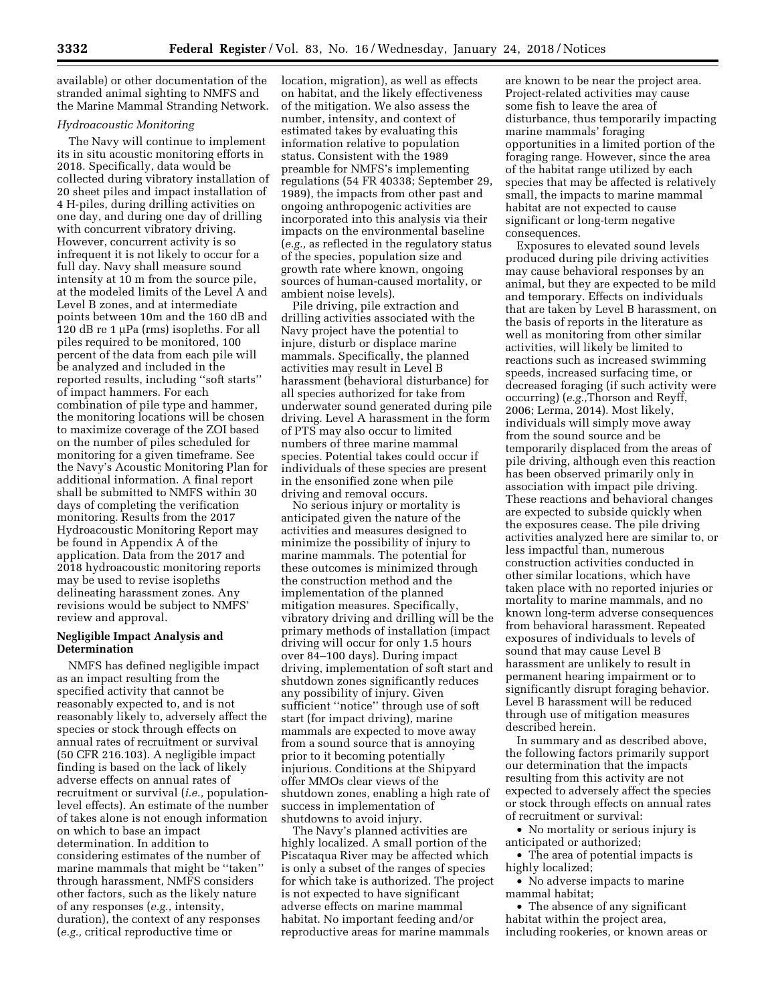available) or other documentation of the stranded animal sighting to NMFS and the Marine Mammal Stranding Network.

### *Hydroacoustic Monitoring*

The Navy will continue to implement its in situ acoustic monitoring efforts in 2018. Specifically, data would be collected during vibratory installation of 20 sheet piles and impact installation of 4 H-piles, during drilling activities on one day, and during one day of drilling with concurrent vibratory driving. However, concurrent activity is so infrequent it is not likely to occur for a full day. Navy shall measure sound intensity at 10 m from the source pile, at the modeled limits of the Level A and Level B zones, and at intermediate points between 10m and the 160 dB and 120 dB re 1  $\mu$ Pa (rms) isopleths. For all piles required to be monitored, 100 percent of the data from each pile will be analyzed and included in the reported results, including ''soft starts'' of impact hammers. For each combination of pile type and hammer, the monitoring locations will be chosen to maximize coverage of the ZOI based on the number of piles scheduled for monitoring for a given timeframe. See the Navy's Acoustic Monitoring Plan for additional information. A final report shall be submitted to NMFS within 30 days of completing the verification monitoring. Results from the 2017 Hydroacoustic Monitoring Report may be found in Appendix A of the application. Data from the 2017 and 2018 hydroacoustic monitoring reports may be used to revise isopleths delineating harassment zones. Any revisions would be subject to NMFS' review and approval.

## **Negligible Impact Analysis and Determination**

NMFS has defined negligible impact as an impact resulting from the specified activity that cannot be reasonably expected to, and is not reasonably likely to, adversely affect the species or stock through effects on annual rates of recruitment or survival (50 CFR 216.103). A negligible impact finding is based on the lack of likely adverse effects on annual rates of recruitment or survival (*i.e.,* populationlevel effects). An estimate of the number of takes alone is not enough information on which to base an impact determination. In addition to considering estimates of the number of marine mammals that might be ''taken'' through harassment, NMFS considers other factors, such as the likely nature of any responses (*e.g.,* intensity, duration), the context of any responses (*e.g.,* critical reproductive time or

location, migration), as well as effects on habitat, and the likely effectiveness of the mitigation. We also assess the number, intensity, and context of estimated takes by evaluating this information relative to population status. Consistent with the 1989 preamble for NMFS's implementing regulations (54 FR 40338; September 29, 1989), the impacts from other past and ongoing anthropogenic activities are incorporated into this analysis via their impacts on the environmental baseline (*e.g.,* as reflected in the regulatory status of the species, population size and growth rate where known, ongoing sources of human-caused mortality, or ambient noise levels).

Pile driving, pile extraction and drilling activities associated with the Navy project have the potential to injure, disturb or displace marine mammals. Specifically, the planned activities may result in Level B harassment (behavioral disturbance) for all species authorized for take from underwater sound generated during pile driving. Level A harassment in the form of PTS may also occur to limited numbers of three marine mammal species. Potential takes could occur if individuals of these species are present in the ensonified zone when pile driving and removal occurs.

No serious injury or mortality is anticipated given the nature of the activities and measures designed to minimize the possibility of injury to marine mammals. The potential for these outcomes is minimized through the construction method and the implementation of the planned mitigation measures. Specifically, vibratory driving and drilling will be the primary methods of installation (impact driving will occur for only 1.5 hours over 84–100 days). During impact driving, implementation of soft start and shutdown zones significantly reduces any possibility of injury. Given sufficient ''notice'' through use of soft start (for impact driving), marine mammals are expected to move away from a sound source that is annoying prior to it becoming potentially injurious. Conditions at the Shipyard offer MMOs clear views of the shutdown zones, enabling a high rate of success in implementation of shutdowns to avoid injury.

The Navy's planned activities are highly localized. A small portion of the Piscataqua River may be affected which is only a subset of the ranges of species for which take is authorized. The project is not expected to have significant adverse effects on marine mammal habitat. No important feeding and/or reproductive areas for marine mammals

are known to be near the project area. Project-related activities may cause some fish to leave the area of disturbance, thus temporarily impacting marine mammals' foraging opportunities in a limited portion of the foraging range. However, since the area of the habitat range utilized by each species that may be affected is relatively small, the impacts to marine mammal habitat are not expected to cause significant or long-term negative consequences.

Exposures to elevated sound levels produced during pile driving activities may cause behavioral responses by an animal, but they are expected to be mild and temporary. Effects on individuals that are taken by Level B harassment, on the basis of reports in the literature as well as monitoring from other similar activities, will likely be limited to reactions such as increased swimming speeds, increased surfacing time, or decreased foraging (if such activity were occurring) (*e.g.,*Thorson and Reyff, 2006; Lerma, 2014). Most likely, individuals will simply move away from the sound source and be temporarily displaced from the areas of pile driving, although even this reaction has been observed primarily only in association with impact pile driving. These reactions and behavioral changes are expected to subside quickly when the exposures cease. The pile driving activities analyzed here are similar to, or less impactful than, numerous construction activities conducted in other similar locations, which have taken place with no reported injuries or mortality to marine mammals, and no known long-term adverse consequences from behavioral harassment. Repeated exposures of individuals to levels of sound that may cause Level B harassment are unlikely to result in permanent hearing impairment or to significantly disrupt foraging behavior. Level B harassment will be reduced through use of mitigation measures described herein.

In summary and as described above, the following factors primarily support our determination that the impacts resulting from this activity are not expected to adversely affect the species or stock through effects on annual rates of recruitment or survival:

• No mortality or serious injury is anticipated or authorized;

• The area of potential impacts is highly localized;

• No adverse impacts to marine mammal habitat;

• The absence of any significant habitat within the project area, including rookeries, or known areas or